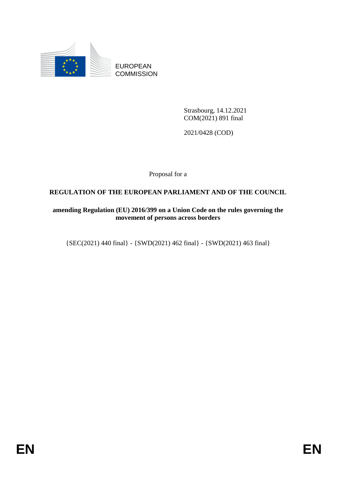

EUROPEAN **COMMISSION** 

> Strasbourg, 14.12.2021 COM(2021) 891 final

2021/0428 (COD)

Proposal for a

## **REGULATION OF THE EUROPEAN PARLIAMENT AND OF THE COUNCIL**

## **amending Regulation (EU) 2016/399 on a Union Code on the rules governing the movement of persons across borders**

{SEC(2021) 440 final} - {SWD(2021) 462 final} - {SWD(2021) 463 final}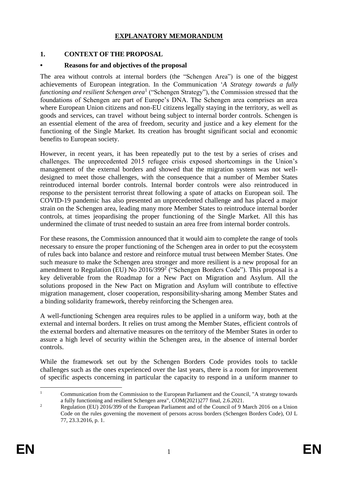## **EXPLANATORY MEMORANDUM**

## **1. CONTEXT OF THE PROPOSAL**

#### **• Reasons for and objectives of the proposal**

The area without controls at internal borders (the "Schengen Area") is one of the biggest achievements of European integration. In the Communication '*A Strategy towards a fully functioning and resilient Schengen area*<sup>1</sup> ("Schengen Strategy"), the Commission stressed that the foundations of Schengen are part of Europe's DNA. The Schengen area comprises an area where European Union citizens and non-EU citizens legally staying in the territory, as well as goods and services, can travel without being subject to internal border controls. Schengen is an essential element of the area of freedom, security and justice and a key element for the functioning of the Single Market. Its creation has brought significant social and economic benefits to European society.

However, in recent years, it has been repeatedly put to the test by a series of crises and challenges. The unprecedented 2015 refugee crisis exposed shortcomings in the Union's management of the external borders and showed that the migration system was not welldesigned to meet those challenges, with the consequence that a number of Member States reintroduced internal border controls. Internal border controls were also reintroduced in response to the persistent terrorist threat following a spate of attacks on European soil. The COVID-19 pandemic has also presented an unprecedented challenge and has placed a major strain on the Schengen area, leading many more Member States to reintroduce internal border controls, at times jeopardising the proper functioning of the Single Market. All this has undermined the climate of trust needed to sustain an area free from internal border controls.

For these reasons, the Commission announced that it would aim to complete the range of tools necessary to ensure the proper functioning of the Schengen area in order to put the ecosystem of rules back into balance and restore and reinforce mutual trust between Member States. One such measure to make the Schengen area stronger and more resilient is a new proposal for an amendment to Regulation (EU) No  $2016/399<sup>2</sup>$  ("Schengen Borders Code"). This proposal is a key deliverable from the Roadmap for a New Pact on Migration and Asylum. All the solutions proposed in the New Pact on Migration and Asylum will contribute to effective migration management, closer cooperation, responsibility-sharing among Member States and a binding solidarity framework, thereby reinforcing the Schengen area.

A well-functioning Schengen area requires rules to be applied in a uniform way, both at the external and internal borders. It relies on trust among the Member States, efficient controls of the external borders and alternative measures on the territory of the Member States in order to assure a high level of security within the Schengen area, in the absence of internal border controls.

While the framework set out by the Schengen Borders Code provides tools to tackle challenges such as the ones experienced over the last years, there is a room for improvement of specific aspects concerning in particular the capacity to respond in a uniform manner to

 $\bar{1}$ <sup>1</sup> Communication from the Commission to the European Parliament and the Council, "A strategy towards a fully functioning and resilient Schengen area", COM(2021)277 final, 2.6.2021.

<sup>&</sup>lt;sup>2</sup> Regulation (EU) 2016/399 of the European Parliament and of the Council of 9 March 2016 on a Union Code on the rules governing the movement of persons across borders (Schengen Borders Code), OJ L 77, 23.3.2016, p. 1.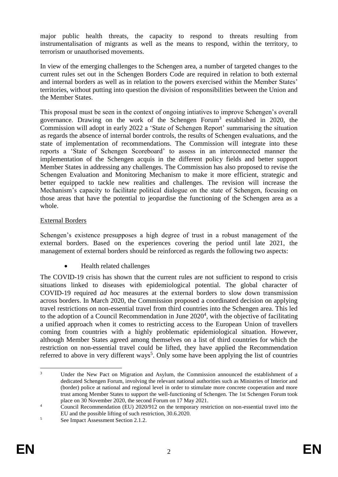major public health threats, the capacity to respond to threats resulting from instrumentalisation of migrants as well as the means to respond, within the territory, to terrorism or unauthorised movements.

In view of the emerging challenges to the Schengen area, a number of targeted changes to the current rules set out in the Schengen Borders Code are required in relation to both external and internal borders as well as in relation to the powers exercised within the Member States' territories, without putting into question the division of responsibilities between the Union and the Member States.

This proposal must be seen in the context of ongoing intiatives to improve Schengen's overall governance. Drawing on the work of the Schengen Forum<sup>3</sup> established in 2020, the Commission will adopt in early 2022 a 'State of Schengen Report' summarising the situation as regards the absence of internal border controls, the results of Schengen evaluations, and the state of implementation of recommendations. The Commission will integrate into these reports a 'State of Schengen Scoreboard' to assess in an interconnected manner the implementation of the Schengen acquis in the different policy fields and better support Member States in addressing any challenges. The Commission has also proposed to revise the Schengen Evaluation and Monitoring Mechanism to make it more efficient, strategic and better equipped to tackle new realities and challenges. The revision will increase the Mechanism's capacity to facilitate political dialogue on the state of Schengen, focusing on those areas that have the potential to jeopardise the functioning of the Schengen area as a whole.

## External Borders

Schengen's existence presupposes a high degree of trust in a robust management of the external borders. Based on the experiences covering the period until late 2021, the management of external borders should be reinforced as regards the following two aspects:

Health related challenges

The COVID-19 crisis has shown that the current rules are not sufficient to respond to crisis situations linked to diseases with epidemiological potential. The global character of COVID-19 required *ad hoc* measures at the external borders to slow down transmission across borders. In March 2020, the Commission proposed a coordinated decision on applying travel restrictions on non-essential travel from third countries into the Schengen area. This led to the adoption of a Council Recommendation in June  $2020<sup>4</sup>$ , with the objective of facilitating a unified approach when it comes to restricting access to the European Union of travellers coming from countries with a highly problematic epidemiological situation. However, although Member States agreed among themselves on a list of third countries for which the restriction on non-essential travel could be lifted, they have applied the Recommendation referred to above in very different ways<sup>5</sup>. Only some have been applying the list of countries

 $\overline{a}$ Under the New Pact on Migration and Asylum, the Commission announced the establishment of a dedicated Schengen Forum, involving the relevant national authorities such as Ministries of Interior and (border) police at national and regional level in order to stimulate more concrete cooperation and more trust among Member States to support the well-functioning of Schengen. The 1st Schengen Forum took place on 30 November 2020, the second Forum on 17 May 2021.

<sup>&</sup>lt;sup>4</sup> Council Recommendation (EU) 2020/912 on the temporary restriction on non-essential travel into the EU and the possible lifting of such restriction, 30.6.2020.

<sup>5</sup> See Impact Assessment Section 2.1.2.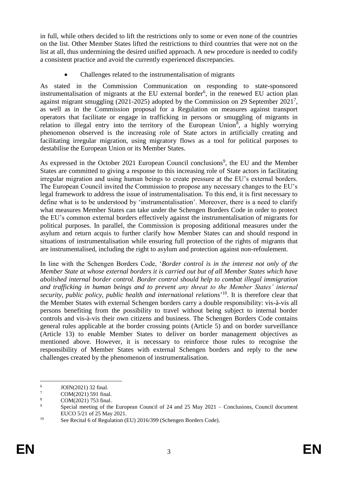in full, while others decided to lift the restrictions only to some or even none of the countries on the list. Other Member States lifted the restrictions to third countries that were not on the list at all, thus undermining the desired unified approach. A new procedure is needed to codify a consistent practice and avoid the currently experienced discrepancies.

Challenges related to the instrumentalisation of migrants

As stated in the Commission Communication on responding to state-sponsored instrumentalisation of migrants at the EU external border<sup>6</sup>, in the renewed EU action plan against migrant smuggling (2021-2025) adopted by the Commission on 29 September 2021<sup>7</sup>, as well as in the Commission proposal for a Regulation on measures against transport operators that facilitate or engage in trafficking in persons or smuggling of migrants in relation to illegal entry into the territory of the European Union<sup>8</sup>, a highly worrying phenomenon observed is the increasing role of State actors in artificially creating and facilitating irregular migration, using migratory flows as a tool for political purposes to destabilise the European Union or its Member States.

As expressed in the October 2021 European Council conclusions<sup>9</sup>, the EU and the Member States are committed to giving a response to this increasing role of State actors in facilitating irregular migration and using human beings to create pressure at the EU's external borders. The European Council invited the Commission to propose any necessary changes to the EU's legal framework to address the issue of instrumentalisation. To this end, it is first necessary to define what is to be understood by 'instrumentalisation'. Moreover, there is a need to clarify what measures Member States can take under the Schengen Borders Code in order to protect the EU's common external borders effectively against the instrumentalisation of migrants for political purposes. In parallel, the Commission is proposing additional measures under the asylum and return acquis to further clarify how Member States can and should respond in situations of instrumentalisation while ensuring full protection of the rights of migrants that are instrumentalised, including the right to asylum and protection against non-refoulement.

In line with the Schengen Borders Code, '*Border control is in the interest not only of the Member State at whose external borders it is carried out but of all Member States which have abolished internal border control. Border control should help to combat illegal immigration and trafficking in human beings and to prevent any threat to the Member States' internal security, public policy, public health and international relations*' <sup>10</sup>. It is therefore clear that the Member States with external Schengen borders carry a double responsibility: vis-à-vis all persons benefiting from the possibility to travel without being subject to internal border controls and vis-à-vis their own citizens and business. The Schengen Borders Code contains general rules applicable at the border crossing points (Article 5) and on border surveillance (Article 13) to enable Member States to deliver on border management objectives as mentioned above. However, it is necessary to reinforce those rules to recognise the responsibility of Member States with external Schengen borders and reply to the new challenges created by the phenomenon of instrumentalisation.

<sup>1</sup> 6 JOIN(2021) 32 final.

 $\frac{7}{8}$  COM(2021) 591 final.

 $\frac{8}{9}$  COM(2021) 753 final.

Special meeting of the European Council of 24 and 25 May 2021 – Conclusions, Council document EUCO 5/21 of 25 May 2021.

<sup>&</sup>lt;sup>10</sup> See Recital 6 of Regulation (EU) 2016/399 (Schengen Borders Code).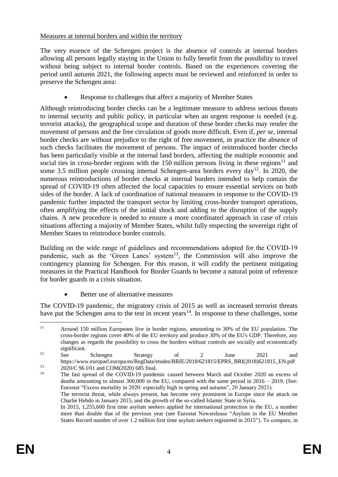## Measures at internal borders and within the territory

The very essence of the Schengen project is the absence of controls at internal borders allowing all persons legally staying in the Union to fully benefit from the possibility to travel without being subject to internal border controls. Based on the experiences covering the period until autumn 2021, the following aspects must be reviewed and reinforced in order to preserve the Schengen area:

Response to challenges that affect a majority of Member States

Although reintroducing border checks can be a legitimate measure to address serious threats to internal security and public policy, in particular when an urgent response is needed (e.g. terrorist attacks), the geographical scope and duration of these border checks may render the movement of persons and the free circulation of goods more difficult. Even if, *per se*, internal border checks are without prejudice to the right of free movement, in practice the absence of such checks facilitates the movement of persons. The impact of reintroduced border checks has been particularly visible at the internal land borders, affecting the multiple economic and social ties in cross-border regions with the 150 million persons living in these regions<sup>11</sup> and some 3.5 million people crossing internal Schengen-area borders every day<sup>12</sup>. In 2020, the numerous reintroductions of border checks at internal borders intended to help contain the spread of COVID-19 often affected the local capacities to ensure essential services on both sides of the border. A lack of coordination of national measures in response to the COVID-19 pandemic further impacted the transport sector by limiting cross-border transport operations, often amplifying the effects of the initial shock and adding to the disruption of the supply chains. A new procedure is needed to ensure a more coordinated approach in case of crisis situations affecting a majority of Member States, whilst fully respecting the sovereign right of Member States to reintroduce border controls.

Building on the wide range of guidelines and recommendations adopted for the COVID-19 pandemic, such as the 'Green Lanes' system<sup>13</sup>, the Commission will also improve the contingency planning for Schengen. For this reason, it will codify the pertinent mitigating measures in the Practical Handbook for Border Guards to become a natural point of reference for border guards in a crisis situation.

Better use of alternative measures

The COVID-19 pandemic, the migratory crisis of 2015 as well as increased terrorist threats have put the Schengen area to the test in recent years<sup>14</sup>. In response to these challenges, some

 $11$ <sup>11</sup> Around 150 million Europeans live in border regions, amounting to 30% of the EU population. The cross-border regions cover 40% of the EU territory and produce 30% of the EU's GDP. Therefore, any changes as regards the possibility to cross the borders without controls are socially and economically significant.

<sup>&</sup>lt;sup>12</sup> See Schengen Strategy of 2 June 2021 and https://www.europarl.europa.eu/RegData/etudes/BRIE/2018/621815/EPRS\_BRI(2018)621815\_EN.pdf

<sup>&</sup>lt;sup>13</sup> 2020/C 96 I/01 and COM(2020) 685 final.

The fast spread of the COVID-19 pandemic caused between March and October 2020 an excess of deaths amounting to almost  $300,000$  in the EU, compared with the same period in  $2016 - 2019$ . (See: Eurostat "Excess mortality in 2020: especially high in spring and autumn", 20 January 2021).

The terrorist threat, while always present, has become very prominent in Europe since the attack on Charlie Hebdo in January 2015, and the growth of the so-called Islamic State in Syria.

In 2015, 1,255,600 first time asylum seekers applied for international protection in the EU, a number more than double that of the previous year (see Eurostat Newsrelease "Asylum in the EU Member States Record number of over 1.2 million first time asylum seekers registered in 2015"). To compare, in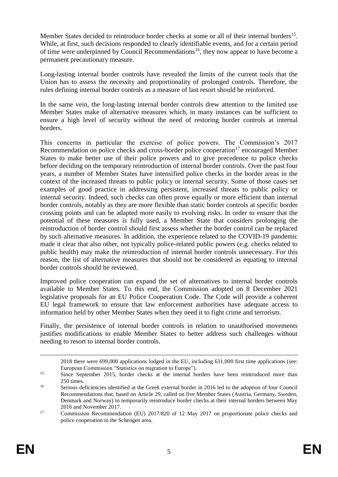Member States decided to reintroduce border checks at some or all of their internal borders<sup>15</sup>. While, at first, such decisions responded to clearly identifiable events, and for a certain period of time were underpinned by Council Recommendations<sup>16</sup>, they now appear to have become a permanent precautionary measure.

Long-lasting internal border controls have revealed the limits of the current tools that the Union has to assess the necessity and proportionality of prolonged controls. Therefore, the rules defining internal border controls as a measure of last resort should be reinforced.

In the same vein, the long-lasting internal border controls drew attention to the limited use Member States make of alternative measures which, in many instances can be sufficient to ensure a high level of security without the need of restoring border controls at internal borders.

This concerns in particular the exercise of police powers. The Commission's 2017 Recommendation on police checks and cross-border police cooperation<sup>17</sup> encouraged Member States to make better use of their police powers and to give precedence to police checks before deciding on the temporary reintroduction of internal border controls. Over the past four years, a number of Member States have intensified police checks in the border areas in the context of the increased threats to public policy or internal security. Some of those cases set examples of good practice in addressing persistent, increased threats to public policy or internal security. Indeed, such checks can often prove equally or more efficient than internal border controls, notably as they are more flexible than static border controls at specific border crossing points and can be adapted more easily to evolving risks. In order to ensure that the potential of these measures is fully used, a Member State that considers prolonging the reintroduction of border control should first assess whether the border control can be replaced by such alternative measures. In addition, the experience related to the COVID-19 pandemic made it clear that also other, not typically police-related public powers (e.g. checks related to public health) may make the reintroduction of internal border controls unnecessary. For this reason, the list of alternative measures that should not be considered as equating to internal border controls should be reviewed.

Improved police cooperation can expand the set of alternatives to internal border controls available to Member States. To this end, the Commission adopted on 8 December 2021 legislative proposals for an EU Police Cooperation Code. The Code will provide a coherent EU legal framework to ensure that law enforcement authorities have adequate access to information held by other Member States when they need it to fight crime and terrorism.

Finally, the persistence of internal border controls in relation to unauthorised movements justifies modifications to enable Member States to better address such challenges without needing to resort to internal border controls.

<u>.</u>

<sup>2018</sup> there were 699,000 applications lodged in the EU, including 631,000 first time applications (see: European Commission "Statistics on migration to Europe").

<sup>&</sup>lt;sup>15</sup> Since September 2015, border checks at the internal borders have been reintroduced more than  $250 \times me$ 

<sup>&</sup>lt;sup>16</sup> Serious deficiencies identified at the Greek external border in 2016 led to the adoption of four Council Recommendations that, based on Article 29, called on five Member States (Austria, Germany, Sweden, Denmark and Norway) to temporarily reintroduce border checks at their internal borders between May 2016 and November 2017.

<sup>&</sup>lt;sup>17</sup> Commission Recommendation (EU) 2017/820 of 12 May 2017 on proportionate police checks and police cooperation in the Schengen area.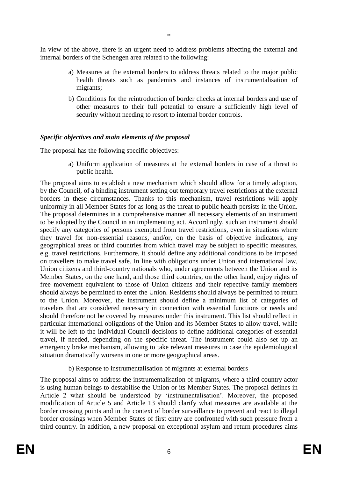In view of the above, there is an urgent need to address problems affecting the external and internal borders of the Schengen area related to the following:

- a) Measures at the external borders to address threats related to the major public health threats such as pandemics and instances of instrumentalisation of migrants;
- b) Conditions for the reintroduction of border checks at internal borders and use of other measures to their full potential to ensure a sufficiently high level of security without needing to resort to internal border controls.

#### *Specific objectives and main elements of the proposal*

The proposal has the following specific objectives:

a) Uniform application of measures at the external borders in case of a threat to public health.

The proposal aims to establish a new mechanism which should allow for a timely adoption, by the Council, of a binding instrument setting out temporary travel restrictions at the external borders in these circumstances. Thanks to this mechanism, travel restrictions will apply uniformly in all Member States for as long as the threat to public health persists in the Union. The proposal determines in a comprehensive manner all necessary elements of an instrument to be adopted by the Council in an implementing act. Accordingly, such an instrument should specify any categories of persons exempted from travel restrictions, even in situations where they travel for non-essential reasons, and/or, on the basis of objective indicators, any geographical areas or third countries from which travel may be subject to specific measures, e.g. travel restrictions. Furthermore, it should define any additional conditions to be imposed on travellers to make travel safe. In line with obligations under Union and international law, Union citizens and third-country nationals who, under agreements between the Union and its Member States, on the one hand, and those third countries, on the other hand, enjoy rights of free movement equivalent to those of Union citizens and their repective family members should always be permitted to enter the Union. Residents should always be permitted to return to the Union. Moreover, the instrument should define a minimum list of categories of travelers that are considered necessary in connection with essential functions or needs and should therefore not be covered by measures under this instrument. This list should reflect in particular international obligations of the Union and its Member States to allow travel, while it will be left to the individual Council decisions to define additional categories of essential travel, if needed, depending on the specific threat. The instrument could also set up an emergency brake mechanism, allowing to take relevant measures in case the epidemiological situation dramatically worsens in one or more geographical areas.

#### b) Response to instrumentalisation of migrants at external borders

The proposal aims to address the instrumentalisation of migrants, where a third country actor is using human beings to destabilise the Union or its Member States. The proposal defines in Article 2 what should be understood by 'instrumentalisation'. Moreover, the proposed modification of Article 5 and Article 13 should clarify what measures are available at the border crossing points and in the context of border surveillance to prevent and react to illegal border crossings when Member States of first entry are confronted with such pressure from a third country. In addition, a new proposal on exceptional asylum and return procedures aims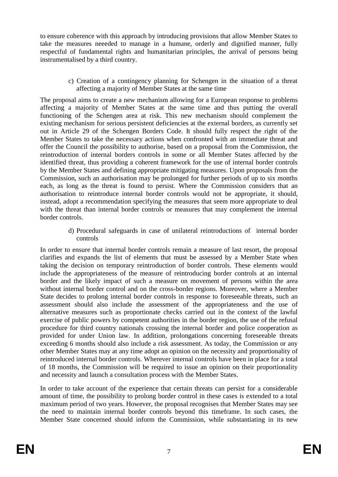to ensure coherence with this approach by introducing provisions that allow Member States to take the measures neeeded to manage in a humane, orderly and dignified manner, fully respectful of fundamental rights and humanitarian principles, the arrival of persons being instrumentalised by a third country.

> c) Creation of a contingency planning for Schengen in the situation of a threat affecting a majority of Member States at the same time

The proposal aims to create a new mechanism allowing for a European response to problems affecting a majority of Member States at the same time and thus putting the overall functioning of the Schengen area at risk. This new mechanism should complement the existing mechanism for serious persistent deficiencies at the external borders, as currently set out in Article 29 of the Schengen Borders Code. It should fully respect the right of the Member States to take the necessary actions when confronted with an immediate threat and offer the Council the possibility to authorise, based on a proposal from the Commission, the reintroduction of internal borders controls in some or all Member States affected by the identified threat, thus providing a coherent framework for the use of internal border controls by the Member States and defining appropriate mitigating measures. Upon proposals from the Commission, such an authorisation may be prolonged for further periods of up to six months each, as long as the threat is found to persist. Where the Commission considers that an authorisation to reintroduce internal border controls would not be appropriate, it should, instead, adopt a recommendation specifying the measures that seem more appropriate to deal with the threat than internal border controls or measures that may complement the internal border controls.

> d) Procedural safeguards in case of unilateral reintroductions of internal border controls

In order to ensure that internal border controls remain a measure of last resort, the proposal clarifies and expands the list of elements that must be assessed by a Member State when taking the decision on temporary reintroduction of border controls. These elements would include the appropriateness of the measure of reintroducing border controls at an internal border and the likely impact of such a measure on movement of persons within the area without internal border control and on the cross-border regions. Moreover, where a Member State decides to prolong internal border controls in response to foreseeable threats, such an assessment should also include the assessment of the appropriateness and the use of alternative measures such as proportionate checks carried out in the context of the lawful exercise of public powers by competent authorities in the border region, the use of the refusal procedure for third country nationals crossing the internal border and police cooperation as provided for under Union law. In addition, prolongations concerning foreseeable threats exceeding 6 months should also include a risk assessment. As today, the Commission or any other Member States may at any time adopt an opinion on the necessity and proportionality of reintroduced internal border controls. Wherever internal controls have been in place for a total of 18 months, the Commission will be required to issue an opinion on their proportionality and necessity and launch a consultation process with the Member States.

In order to take account of the experience that certain threats can persist for a considerable amount of time, the possibility to prolong border control in these cases is extended to a total maximum period of two years. However, the proposal recognises that Member States may see the need to maintain internal border controls beyond this timeframe. In such cases, the Member State concerned should inform the Commission, while substantiating in its new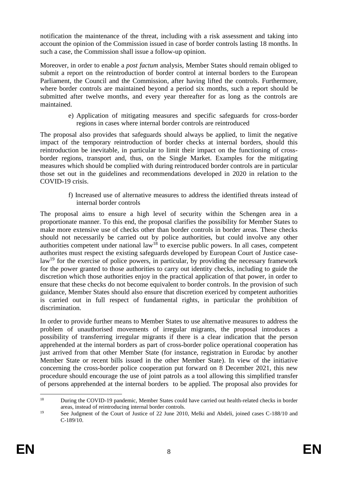notification the maintenance of the threat, including with a risk assessment and taking into account the opinion of the Commission issued in case of border controls lasting 18 months. In such a case, the Commission shall issue a follow-up opinion.

Moreover, in order to enable a *post factum* analysis, Member States should remain obliged to submit a report on the reintroduction of border control at internal borders to the European Parliament, the Council and the Commission, after having lifted the controls. Furthermore, where border controls are maintained beyond a period six months, such a report should be submitted after twelve months, and every year thereafter for as long as the controls are maintained.

> e) Application of mitigating measures and specific safeguards for cross-border regions in cases where internal border controls are reintroduced

The proposal also provides that safeguards should always be applied, to limit the negative impact of the temporary reintroduction of border checks at internal borders, should this reintroduction be inevitable, in particular to limit their impact on the functioning of crossborder regions, transport and, thus, on the Single Market. Examples for the mitigating measures which should be complied with during reintroduced border controls are in particular those set out in the guidelines and recommendations developed in 2020 in relation to the COVID-19 crisis.

> f) Increased use of alternative measures to address the identified threats instead of internal border controls

The proposal aims to ensure a high level of security within the Schengen area in a proportionate manner. To this end, the proposal clarifies the possibility for Member States to make more extensive use of checks other than border controls in border areas. These checks should not necessarily be carried out by police authorities, but could involve any other authorities competent under national  $law<sup>18</sup>$  to exercise public powers. In all cases, competent authorites must respect the existing safeguards developed by European Court of Justice caselaw<sup>19</sup> for the exercise of police powers, in particular, by providing the necessary framework for the power granted to those authorities to carry out identity checks, including to guide the discretion which those authorities enjoy in the practical application of that power, in order to ensure that these checks do not become equivalent to border controls. In the provision of such guidance, Member States should also ensure that discretion exericed by competent authorities is carried out in full respect of fundamental rights, in particular the prohibition of discrimination.

In order to provide further means to Member States to use alternative measures to address the problem of unauthorised movements of irregular migrants, the proposal introduces a possibility of transferring irregular migrants if there is a clear indication that the person apprehended at the internal borders as part of cross-border police operational cooperation has just arrived from that other Member State (for instance, registration in Eurodac by another Member State or recent bills issued in the other Member State). In view of the initiative concerning the cross-border police cooperation put forward on 8 December 2021, this new procedure should encourage the use of joint patrols as a tool allowing this simplified transfer of persons apprehended at the internal borders to be applied. The proposal also provides for

 $18\,$ <sup>18</sup> During the COVID-19 pandemic, Member States could have carried out health-related checks in border areas, instead of reintroducing internal border controls.

<sup>&</sup>lt;sup>19</sup> See Judgment of the Court of Justice of 22 June 2010, Melki and Abdeli, joined cases C-188/10 and C-189/10.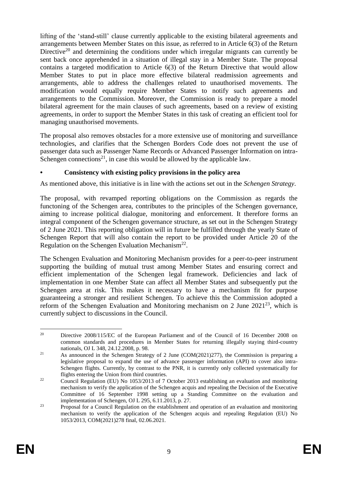lifting of the 'stand-still' clause currently applicable to the existing bilateral agreements and arrangements between Member States on this issue, as referred to in Article 6(3) of the Return Directive<sup>20</sup> and determining the conditions under which irregular migrants can currently be sent back once apprehended in a situation of illegal stay in a Member State. The proposal contains a targeted modification to Article 6(3) of the Return Directive that would allow Member States to put in place more effective bilateral readmission agreements and arrangements, able to address the challenges related to unauthorised movements. The modification would equally require Member States to notify such agreements and arrangements to the Commission. Moreover, the Commission is ready to prepare a model bilateral agreement for the main clauses of such agreements, based on a review of existing agreements, in order to support the Member States in this task of creating an efficient tool for managing unauthorised movements.

The proposal also removes obstacles for a more extensive use of monitoring and surveillance technologies, and clarifies that the Schengen Borders Code does not prevent the use of passenger data such as Passenger Name Records or Advanced Passenger Information on intra-Schengen connections<sup>21</sup>, in case this would be allowed by the applicable law.

## **• Consistency with existing policy provisions in the policy area**

As mentioned above, this initiative is in line with the actions set out in the *Schengen Strategy*.

The proposal, with revamped reporting obligations on the Commission as regards the functoning of the Schengen area, contributes to the principles of the Schengen governance, aiming to increase political dialogue, monitoring and enforcement. It therefore forms an integral component of the Schengen governance structure, as set out in the Schengen Strategy of 2 June 2021. This reporting obligation will in future be fulfilled through the yearly State of Schengen Report that will also contain the report to be provided under Article 20 of the Regulation on the Schengen Evaluation Mechanism<sup>22</sup>.

The Schengen Evaluation and Monitoring Mechanism provides for a peer-to-peer instrument supporting the building of mutual trust among Member States and ensuring correct and efficient implementation of the Schengen legal framework. Deficiencies and lack of implementation in one Member State can affect all Member States and subsequently put the Schengen area at risk. This makes it necessary to have a mechanism fit for purpose guaranteeing a stronger and resilient Schengen. To achieve this the Commission adopted a reform of the Schengen Evaluation and Monitoring mechanism on 2 June  $2021^{23}$ , which is currently subject to discussions in the Council.

<sup>20</sup> <sup>20</sup> Directive 2008/115/EC of the European Parliament and of the Council of 16 December 2008 on common standards and procedures in Member States for returning illegally staying third-country nationals, OJ L 348, 24.12.2008, p. 98.

<sup>&</sup>lt;sup>21</sup> As announced in the Schengen Strategy of 2 June (COM(2021)277), the Commission is preparing a legislative proposal to expand the use of advance passenger information (API) to cover also intra-Schengen flights. Currently, by contrast to the PNR, it is currently only collected systematically for flights entering the Union from third countries.

<sup>&</sup>lt;sup>22</sup> Council Regulation (EU) No 1053/2013 of 7 October 2013 establishing an evaluation and monitoring mechanism to verify the application of the Schengen acquis and repealing the Decision of the Executive Committee of 16 September 1998 setting up a Standing Committee on the evaluation and implementation of Schengen, OJ L 295, 6.11.2013, p. 27.

 $23$  Proposal for a Council Regulation on the establishment and operation of an evaluation and monitoring mechanism to verify the application of the Schengen acquis and repealing Regulation (EU) No 1053/2013, COM(2021)278 final, 02.06.2021.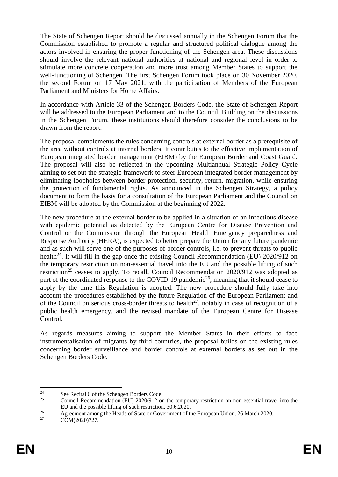The State of Schengen Report should be discussed annually in the Schengen Forum that the Commission established to promote a regular and structured political dialogue among the actors involved in ensuring the proper functioning of the Schengen area. These discussions should involve the relevant national authorities at national and regional level in order to stimulate more concrete cooperation and more trust among Member States to support the well-functioning of Schengen. The first Schengen Forum took place on 30 November 2020, the second Forum on 17 May 2021, with the participation of Members of the European Parliament and Ministers for Home Affairs.

In accordance with Article 33 of the Schengen Borders Code, the State of Schengen Report will be addressed to the European Parliament and to the Council. Building on the discussions in the Schengen Forum, these institutions should therefore consider the conclusions to be drawn from the report.

The proposal complements the rules concerning controls at external border as a prerequisite of the area without controls at internal borders. It contributes to the effective implementation of European integrated border management (EIBM) by the European Border and Coast Guard. The proposal will also be reflected in the upcoming Multiannual Strategic Policy Cycle aiming to set out the strategic framework to steer European integrated border management by eliminating loopholes between border protection, security, return, migration, while ensuring the protection of fundamental rights. As announced in the Schengen Strategy, a policy document to form the basis for a consultation of the European Parliament and the Council on EIBM will be adopted by the Commission at the beginning of 2022.

The new procedure at the external border to be applied in a situation of an infectious disease with epidemic potential as detected by the European Centre for Disease Prevention and Control or the Commission through the European Health Emergency preparedness and Response Authority (HERA), is expected to better prepare the Union for any future pandemic and as such will serve one of the purposes of border controls, i.e. to prevent threats to public health<sup>24</sup>. It will fill in the gap once the existing Council Recommendation (EU)  $2020/912$  on the temporary restriction on non-essential travel into the EU and the possible lifting of such restriction<sup>25</sup> ceases to apply. To recall, Council Recommendation  $2020/912$  was adopted as part of the coordinated response to the COVID-19 pandemic<sup>26</sup>, meaning that it should cease to apply by the time this Regulation is adopted. The new procedure should fully take into account the procedures established by the future Regulation of the European Parliament and of the Council on serious cross-border threats to health<sup>27</sup>, notably in case of recognition of a public health emergency, and the revised mandate of the European Centre for Disease Control.

As regards measures aiming to support the Member States in their efforts to face instrumentalisation of migrants by third countries, the proposal builds on the existing rules concerning border surveillance and border controls at external borders as set out in the Schengen Borders Code.

<sup>1</sup> <sup>24</sup> See Recital 6 of the Schengen Borders Code.<br><sup>25</sup> Council Bosommandation (EU) 2020/012 or

<sup>25</sup> Council Recommendation (EU) 2020/912 on the temporary restriction on non-essential travel into the EU and the possible lifting of such restriction, 30.6.2020.

<sup>&</sup>lt;sup>26</sup><br>Agreement among the Heads of State or Government of the European Union, 26 March 2020.<br>COM(2020)<sup>727</sup>

COM(2020)727.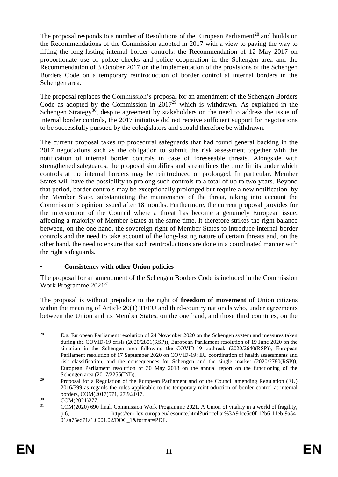The proposal responds to a number of Resolutions of the European Parliament<sup>28</sup> and builds on the Recommendations of the Commission adopted in 2017 with a view to paving the way to lifting the long-lasting internal border controls: the Recommendation of 12 May 2017 on proportionate use of police checks and police cooperation in the Schengen area and the Recommendation of 3 October 2017 on the implementation of the provisions of the Schengen Borders Code on a temporary reintroduction of border control at internal borders in the Schengen area.

The proposal replaces the Commission's proposal for an amendment of the Schengen Borders Code as adopted by the Commission in  $2017^{29}$  which is withdrawn. As explained in the Schengen Strategy<sup>30</sup>, despite agreement by stakeholders on the need to address the issue of internal border controls, the 2017 initiative did not receive sufficient support for negotiations to be successfully pursued by the colegislators and should therefore be withdrawn.

The current proposal takes up procedural safeguards that had found general backing in the 2017 negotiations such as the obligation to submit the risk assessment together with the notification of internal border controls in case of foreseeable threats. Alongside with strengthened safeguards, the proposal simplifies and streamlines the time limits under which controls at the internal borders may be reintroduced or prolonged. In particular, Member States will have the possibility to prolong such controls to a total of up to two years. Beyond that period, border controls may be exceptionally prolonged but require a new notification by the Member State, substantiating the maintenance of the threat, taking into account the Commission's opinion issued after 18 months. Furthermore, the current proposal provides for the intervention of the Council where a threat has become a genuinely European issue, affecting a majority of Member States at the same time. It therefore strikes the right balance between, on the one hand, the sovereign right of Member States to introduce internal border controls and the need to take account of the long-lasting nature of certain threats and, on the other hand, the need to ensure that such reintroductions are done in a coordinated manner with the right safeguards.

# **• Consistency with other Union policies**

The proposal for an amendment of the Schengen Borders Code is included in the Commission Work Programme 2021<sup>31</sup>.

The proposal is without prejudice to the right of **freedom of movement** of Union citizens within the meaning of Article 20(1) TFEU and third-country nationals who, under agreements between the Union and its Member States, on the one hand, and those third countries, on the

<sup>28</sup> <sup>28</sup> E.g. European Parliament resolution of 24 November 2020 on the Schengen system and measures taken during the COVID-19 crisis (2020/2801(RSP)), European Parliament resolution of 19 June 2020 on the situation in the Schengen area following the COVID-19 outbreak (2020/2640(RSP)), European Parliament resolution of 17 September 2020 on COVID-19: EU coordination of health assessments and risk classification, and the consequences for Schengen and the single market (2020/2780(RSP)), European Parliament resolution of 30 May 2018 on the annual report on the functioning of the Schengen area (2017/2256(INI)).

<sup>&</sup>lt;sup>29</sup> Proposal for a Regulation of the European Parliament and of the Council amending Regulation (EU) 2016/399 as regards the rules applicable to the temporary reintroduction of border control at internal borders, COM(2017)571, 27.9.2017.

 $\frac{30}{31}$  COM(2021)277.

<sup>31</sup> COM(2020) 690 final, Commission Work Programme 2021, A Union of vitality in a world of fragility, p.6, [https://eur-lex.europa.eu/resource.html?uri=cellar%3A91ce5c0f-12b6-11eb-9a54-](https://eur-lex.europa.eu/resource.html?uri=cellar%3A91ce5c0f-12b6-11eb-9a54-01aa75ed71a1.0001.02/DOC_1&format=PDF) [01aa75ed71a1.0001.02/DOC\\_1&format=PDF.](https://eur-lex.europa.eu/resource.html?uri=cellar%3A91ce5c0f-12b6-11eb-9a54-01aa75ed71a1.0001.02/DOC_1&format=PDF)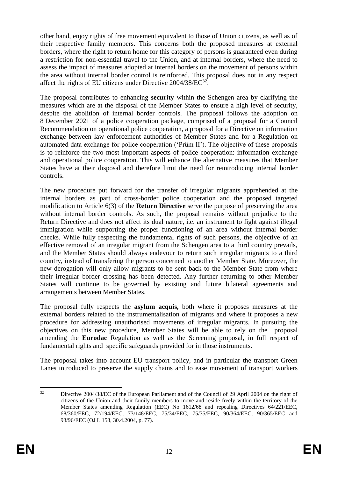other hand, enjoy rights of free movement equivalent to those of Union citizens, as well as of their respective family members. This concerns both the proposed measures at external borders, where the right to return home for this category of persons is guaranteed even during a restriction for non-essential travel to the Union, and at internal borders, where the need to assess the impact of measures adopted at internal borders on the movement of persons within the area without internal border control is reinforced. This proposal does not in any respect affect the rights of EU citizens under Directive 2004/38/EC<sup>32</sup>.

The proposal contributes to enhancing **security** within the Schengen area by clarifying the measures which are at the disposal of the Member States to ensure a high level of security, despite the abolition of internal border controls. The proposal follows the adoption on 8 December 2021 of a police cooperation package, comprised of a proposal for a Council Recommendation on operational police cooperation, a proposal for a Directive on information exchange between law enforcement authorities of Member States and for a Regulation on automated data exchange for police cooperation ('Prüm II'). The objective of these proposals is to reinforce the two most important aspects of police cooperation: information exchange and operational police cooperation. This will enhance the alternative measures that Member States have at their disposal and therefore limit the need for reintroducing internal border controls.

The new procedure put forward for the transfer of irregular migrants apprehended at the internal borders as part of cross-border police cooperation and the proposed targeted modification to Article 6(3) of the **Return Directive** serve the purpose of preserving the area without internal border controls. As such, the proposal remains without prejudice to the Return Directive and does not affect its dual nature, i.e. an instrument to fight against illegal immigration while supporting the proper functioning of an area without internal border checks. While fully respecting the fundamental rights of such persons, the objective of an effective removal of an irregular migrant from the Schengen area to a third country prevails, and the Member States should always endevour to return such irregular migrants to a third country, instead of transfering the person concerned to another Member State. Moreover, the new derogation will only allow migrants to be sent back to the Member State from where their irregular border crossing has been detected. Any further returning to other Member States will continue to be governed by existing and future bilateral agreements and arrangements between Member States.

The proposal fully respects the **asylum acquis,** both where it proposes measures at the external borders related to the instrumentalisation of migrants and where it proposes a new procedure for addressing unauthorised movements of irregular migrants. In pursuing the objectives on this new procedure, Member States will be able to rely on the proposal amending the **Eurodac** Regulation as well as the Screening proposal, in full respect of fundamental rights and specific safeguards provided for in those instruments.

The proposal takes into account EU transport policy, and in particular the transport Green Lanes introduced to preserve the supply chains and to ease movement of transport workers

 $32$ <sup>32</sup> Directive 2004/38/EC of the European Parliament and of the Council of 29 April 2004 on the right of citizens of the Union and their family members to move and reside freely within the territory of the Member States amending Regulation (EEC) No 1612/68 and repealing Directives 64/221/EEC, 68/360/EEC, 72/194/EEC, 73/148/EEC, 75/34/EEC, 75/35/EEC, 90/364/EEC, 90/365/EEC and 93/96/EEC (OJ L 158, 30.4.2004, p. 77).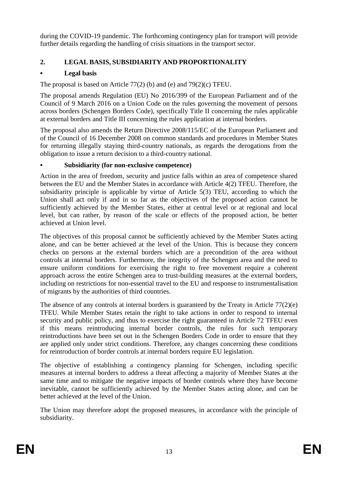during the COVID-19 pandemic. The forthcoming contingency plan for transport will provide further details regarding the handling of crisis situations in the transport sector.

# **2. LEGAL BASIS, SUBSIDIARITY AND PROPORTIONALITY**

# **• Legal basis**

The proposal is based on Article 77(2) (b) and (e) and 79(2)(c) TFEU.

The proposal amends Regulation (EU) No 2016/399 of the European Parliament and of the Council of 9 March 2016 on a Union Code on the rules governing the movement of persons across borders (Schengen Borders Code), specifically Title II concerning the rules applicable at external borders and Title III concerning the rules application at internal borders.

The proposal also amends the Return Directive 2008/115/EC of the European Parliament and of the Council of 16 December 2008 on common standards and procedures in Member States for returning illegally staying third-country nationals, as regards the derogations from the obligation to issue a return decision to a third-country national.

# **• Subsidiarity (for non-exclusive competence)**

Action in the area of freedom, security and justice falls within an area of competence shared between the EU and the Member States in accordance with Article 4(2) TFEU. Therefore, the subsidiarity principle is applicable by virtue of Article 5(3) TEU, according to which the Union shall act only if and in so far as the objectives of the proposed action cannot be sufficiently achieved by the Member States, either at central level or at regional and local level, but can rather, by reason of the scale or effects of the proposed action, be better achieved at Union level.

The objectives of this proposal cannot be sufficiently achieved by the Member States acting alone, and can be better achieved at the level of the Union. This is because they concern checks on persons at the external borders which are a precondition of the area without controls at internal borders. Furthermore, the integrity of the Schengen area and the need to ensure uniform conditions for exercising the right to free movement require a coherent approach across the entire Schengen area to trust-building measures at the external borders, including on restrictions for non-essential travel to the EU and response to instrumentalisation of migrants by the authorities of third countries.

The absence of any controls at internal borders is guaranteed by the Treaty in Article 77(2)(e) TFEU. While Member States retain the right to take actions in order to respond to internal security and public policy, and thus to exercise the right guaranteed in Article 72 TFEU even if this means reintroducing internal border controls, the rules for such temporary reintroductions have been set out in the Schengen Borders Code in order to ensure that they are applied only under strict conditions. Therefore, any changes concerning these conditions for reintroduction of border controls at internal borders require EU legislation.

The objective of establishing a contingency planning for Schengen, including specific measures at internal borders to address a threat affecting a majority of Member States at the same time and to mitigate the negative impacts of border controls where they have become inevitable, cannot be sufficiently achieved by the Member States acting alone, and can be better achieved at the level of the Union.

The Union may therefore adopt the proposed measures, in accordance with the principle of subsidiarity.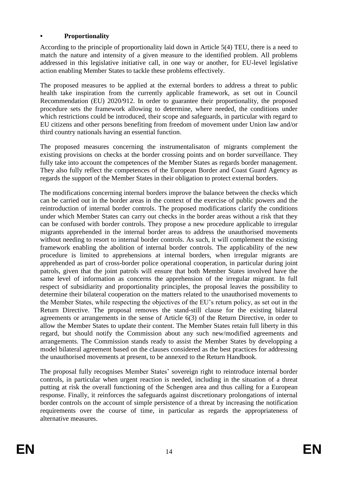## **• Proportionality**

According to the principle of proportionality laid down in Article 5(4) TEU, there is a need to match the nature and intensity of a given measure to the identified problem. All problems addressed in this legislative initiative call, in one way or another, for EU-level legislative action enabling Member States to tackle these problems effectively.

The proposed measures to be applied at the external borders to address a threat to public health take inspiration from the currently applicable framework, as set out in Council Recommendation (EU) 2020/912. In order to guarantee their proportionality, the proposed procedure sets the framework allowing to determine, where needed, the conditions under which restrictions could be introduced, their scope and safeguards, in particular with regard to EU citizens and other persons benefiting from freedom of movement under Union law and/or third country nationals having an essential function.

The proposed measures concerning the instrumentalisaton of migrants complement the existing provisions on checks at the border crossing points and on border surveillance. They fully take into account the competences of the Member States as regards border management. They also fully reflect the competences of the European Border and Coast Guard Agency as regards the support of the Member States in their obligation to protect external borders.

The modifications concerning internal borders improve the balance between the checks which can be carried out in the border areas in the context of the exercise of public powers and the reintroduction of internal border controls. The proposed modifications clarify the conditions under which Member States can carry out checks in the border areas without a risk that they can be confused with border controls. They propose a new procedure applicable to irregular migrants apprehended in the internal border areas to address the unauthorised movements without needing to resort to internal border controls. As such, it will complement the existing framework enabling the abolition of internal border controls. The applicability of the new procedure is limited to apprehensions at internal borders, when irregular migrants are apprehended as part of cross-border police operational cooperation, in particular during joint patrols, given that the joint patrols will ensure that both Member States involved have the same level of information as concerns the apprehension of the irregular migrant. In full respect of subsidiarity and proportionality principles, the proposal leaves the possibility to determine their bilateral cooperation on the matters related to the unauthorised movements to the Member States, while respecting the objectives of the EU's return policy, as set out in the Return Directive. The proposal removes the stand-still clause for the existing bilateral agreements or arrangements in the sense of Article 6(3) of the Return Directive, in order to allow the Member States to update their content. The Member States retain full liberty in this regard, but should notify the Commission about any such new/modified agreements and arrangements. The Commission stands ready to assist the Member States by developping a model bilateral agreement based on the clauses considered as the best practices for addressing the unauthorised movements at present, to be annexed to the Return Handbook.

The proposal fully recognises Member States' sovereign right to reintroduce internal border controls, in particular when urgent reaction is needed, including in the situation of a threat putting at risk the overall functioning of the Schengen area and thus calling for a European response. Finally, it reinforces the safeguards against discretionary prolongations of internal border controls on the account of simple persistence of a threat by increasing the notification requirements over the course of time, in particular as regards the appropriateness of alternative measures.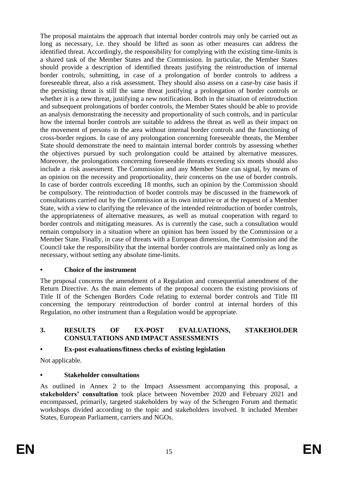The proposal maintains the approach that internal border controls may only be carried out as long as necessary, i.e. they should be lifted as soon as other measures can address the identified threat. Accordingly, the responsibility for complying with the existing time-limits is a shared task of the Member States and the Commission. In particular, the Member States should provide a description of identified threats justifying the reintroduction of internal border controls, submitting, in case of a prolongation of border controls to address a foreseeable threat, also a risk assessment. They should also assess on a case-by case basis if the persisting threat is still the same threat justifying a prolongation of border controls or whether it is a new threat, justifying a new notification. Both in the situation of reintroduction and subsequent prolongations of border controls, the Member States should be able to provide an analysis demonstrating the necessity and proportionality of such controls, and in particular how the internal border controls are suitable to address the threat as well as their impact on the movement of persons in the area without internal border controls and the functioning of cross-border regions. In case of any prolongation concerning foreseeable threats, the Member State should demonstrate the need to maintain internal border controls by assessing whether the objectives pursued by such prolongation could be attained by alternative measures. Moreover, the prolongations concerning foreseeable threats exceeding six monts should also include a risk assessment. The Commission and any Member State can signal, by means of an opinion on the necessity and proportionality, their concerns on the use of border controls. In case of border controls exceeding 18 months, such an opinion by the Commission should be compulsory. The reintroduction of border controls may be discussed in the framework of consultations carried out by the Commission at its own initative or at the request of a Member State, with a view to clarifying the relevance of the intended reintroduction of border controls, the appropriateness of alternative measures, as well as mutual cooperation with regard to border controls and mitigating measures. As is currently the case, such a consultation would remain compulsory in a situation where an opinion has been issued by the Commission or a Member State. Finally, in case of threats with a European dimension, the Commission and the Council take the responsibility that the internal border controls are maintained only as long as necessary, without setting any absolute time-limits.

## **• Choice of the instrument**

The proposal concerns the amendment of a Regulation and consequential amendment of the Return Directive. As the main elements of the proposal concern the existing provisions of Title II of the Schengen Borders Code relating to external border controls and Title III concerning the temporary reintroduction of border control at internal borders of this Regulation, no other instrument than a Regulation would be appropriate.

## **3. RESULTS OF EX-POST EVALUATIONS, STAKEHOLDER CONSULTATIONS AND IMPACT ASSESSMENTS**

# **• Ex-post evaluations/fitness checks of existing legislation**

Not applicable.

# **• Stakeholder consultations**

As outlined in Annex 2 to the Impact Assessment accompanying this proposal, a **stakeholders' consultation** took place between November 2020 and February 2021 and encompassed, primarily, targeted stakeholders by way of the Schengen Forum and thematic workshops divided according to the topic and stakeholders involved. It included Member States, European Parliament, carriers and NGOs.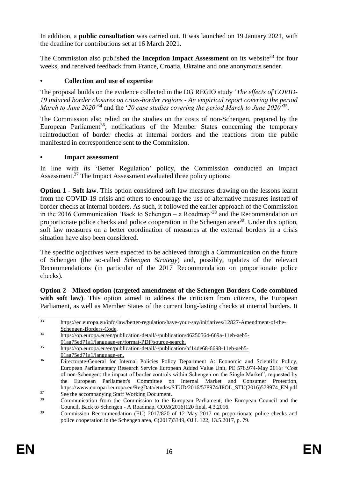In addition, a **public consultation** was carried out. It was launched on 19 January 2021, with the deadline for contributions set at 16 March 2021.

The Commission also published the **Inception Impact Assessment** on its website<sup>33</sup> for four weeks, and received feedback from France, Croatia, Ukraine and one anonymous sender.

## **• Collection and use of expertise**

The proposal builds on the evidence collected in the DG REGIO study '*The effects of COVID-19 induced border closures on cross-border regions - An empirical report covering the period March to June 2020'*<sup>34</sup> and the '*20 case studies covering the period March to June 2020'*<sup>35</sup> *.*

The Commission also relied on the studies on the costs of non-Schengen, prepared by the European Parliament<sup>36</sup>, notifications of the Member States concerning the temporary reintroduction of border checks at internal borders and the reactions from the public manifested in correspondence sent to the Commission.

## **• Impact assessment**

In line with its 'Better Regulation' policy, the Commission conducted an Impact Assessment.<sup>37</sup> The Impact Assessment evaluated three policy options:

**Option 1** - **Soft law**. This option considered soft law measures drawing on the lessons learnt from the COVID-19 crisis and others to encourage the use of alternative measures instead of border checks at internal borders. As such, it followed the earlier approach of the Commission in the 2016 Communication 'Back to Schengen – a Roadmap'<sup>38</sup> and the Recommendation on proportionate police checks and police cooperation in the Schengen area<sup>39</sup>. Under this option, soft law measures on a better coordination of measures at the external borders in a crisis situation have also been considered.

The specific objectives were expected to be achieved through a Communication on the future of Schengen (the so-called *Schengen Strategy*) and, possibly, updates of the relevant Recommendations (in particular of the 2017 Recommendation on proportionate police checks).

**Option 2 - Mixed option (targeted amendment of the Schengen Borders Code combined**  with soft law). This option aimed to address the criticism from citizens, the European Parliament, as well as Member States of the current long-lasting checks at internal borders. It

<sup>&</sup>lt;u>.</u> <sup>33</sup> [https://ec.europa.eu/info/law/better-regulation/have-your-say/initiatives/12827-Amendment-of-the-](https://ec.europa.eu/info/law/better-regulation/have-your-say/initiatives/12827-Amendment-of-the-Schengen-Borders-Code)[Schengen-Borders-Code.](https://ec.europa.eu/info/law/better-regulation/have-your-say/initiatives/12827-Amendment-of-the-Schengen-Borders-Code)

<sup>34</sup> [https://op.europa.eu/en/publication-detail/-/publication/46250564-669a-11eb-aeb5-](https://op.europa.eu/en/publication-detail/-/publication/46250564-669a-11eb-aeb5-01aa75ed71a1/language-en/format-PDF/source-search) [01aa75ed71a1/language-en/format-PDF/source-search.](https://op.europa.eu/en/publication-detail/-/publication/46250564-669a-11eb-aeb5-01aa75ed71a1/language-en/format-PDF/source-search)

<sup>35</sup> [https://op.europa.eu/en/publication-detail/-/publication/bf14de68-6698-11eb-aeb5-](https://op.europa.eu/en/publication-detail/-/publication/bf14de68-6698-11eb-aeb5-01aa75ed71a1/language-en) [01aa75ed71a1/language-en.](https://op.europa.eu/en/publication-detail/-/publication/bf14de68-6698-11eb-aeb5-01aa75ed71a1/language-en)

<sup>&</sup>lt;sup>36</sup> Directorate-General for Internal Policies Policy Department A: Economic and Scientific Policy, European Parliamentary Research Service European Added Value Unit, PE 578.974-May 2016: "Cost of non-Schengen: the impact of border controls within Schengen on the Single Market", requested by the European Parliament's Committee on Internal Market and Consumer Protection, https://www.europarl.europa.eu/RegData/etudes/STUD/2016/578974/IPOL\_STU(2016)578974\_EN.pdf

<sup>&</sup>lt;sup>37</sup> See the accompanying Staff Working Document.<br><sup>38</sup> Communication from the Commission to the I

<sup>38</sup> Communication from the Commission to the European Parliament, the European Council and the Council, Back to Schengen - A Roadmap, COM(2016)120 final, 4.3.2016.

<sup>&</sup>lt;sup>39</sup> Commission Recommendation (EU) 2017/820 of 12 May 2017 on proportionate police checks and police cooperation in the Schengen area, C(2017)3349, OJ L 122, 13.5.2017, p. 79.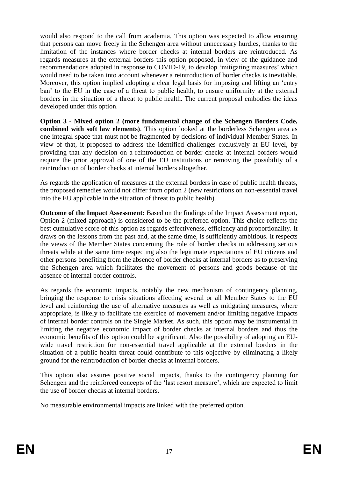would also respond to the call from academia. This option was expected to allow ensuring that persons can move freely in the Schengen area without unnecessary hurdles, thanks to the limitation of the instances where border checks at internal borders are reintroduced. As regards measures at the external borders this option proposed, in view of the guidance and recommendations adopted in response to COVID-19, to develop 'mitigating measures' which would need to be taken into account whenever a reintroduction of border checks is inevitable. Moreover, this option implied adopting a clear legal basis for imposing and lifting an 'entry ban' to the EU in the case of a threat to public health, to ensure uniformity at the external borders in the situation of a threat to public health. The current proposal embodies the ideas developed under this option.

**Option 3 - Mixed option 2 (more fundamental change of the Schengen Borders Code, combined with soft law elements)**. This option looked at the borderless Schengen area as one integral space that must not be fragmented by decisions of individual Member States. In view of that, it proposed to address the identified challenges exclusively at EU level, by providing that any decision on a reintroduction of border checks at internal borders would require the prior approval of one of the EU institutions or removing the possibility of a reintroduction of border checks at internal borders altogether.

As regards the application of measures at the external borders in case of public health threats, the proposed remedies would not differ from option 2 (new restrictions on non-essential travel into the EU applicable in the situation of threat to public health).

**Outcome of the Impact Assessment:** Based on the findings of the Impact Assessment report, Option 2 (mixed approach) is considered to be the preferred option. This choice reflects the best cumulative score of this option as regards effectiveness, efficiency and proportionality. It draws on the lessons from the past and, at the same time, is sufficiently ambitious. It respects the views of the Member States concerning the role of border checks in addressing serious threats while at the same time respecting also the legitimate expectations of EU citizens and other persons benefiting from the absence of border checks at internal borders as to preserving the Schengen area which facilitates the movement of persons and goods because of the absence of internal border controls.

As regards the economic impacts, notably the new mechanism of contingency planning, bringing the response to crisis situations affecting several or all Member States to the EU level and reinforcing the use of alternative measures as well as mitigating measures, where appropriate, is likely to facilitate the exercice of movement and/or limiting negative impacts of internal border controls on the Single Market. As such, this option may be instrumental in limiting the negative economic impact of border checks at internal borders and thus the economic benefits of this option could be significant. Also the possibility of adopting an EUwide travel restriction for non-essential travel applicable at the external borders in the situation of a public health threat could contribute to this objective by eliminating a likely ground for the reintroduction of border checks at internal borders.

This option also assures positive social impacts, thanks to the contingency planning for Schengen and the reinforced concepts of the 'last resort measure', which are expected to limit the use of border checks at internal borders.

No measurable environmental impacts are linked with the preferred option.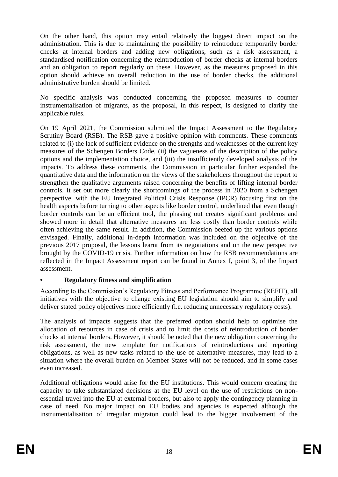On the other hand, this option may entail relatively the biggest direct impact on the administration. This is due to maintaining the possibility to reintroduce temporarily border checks at internal borders and adding new obligations, such as a risk assessment, a standardised notification concerning the reintroduction of border checks at internal borders and an obligation to report regularly on these. However, as the measures proposed in this option should achieve an overall reduction in the use of border checks, the additional administrative burden should be limited.

No specific analysis was conducted concerning the proposed measures to counter instrumentalisation of migrants, as the proposal, in this respect, is designed to clarify the applicable rules.

On 19 April 2021, the Commission submitted the Impact Assessment to the Regulatory Scrutiny Board (RSB). The RSB gave a positive opinion with comments. These comments related to (i) the lack of sufficient evidence on the strengths and weaknesses of the current key measures of the Schengen Borders Code, (ii) the vagueness of the description of the policy options and the implementation choice, and (iii) the insufficiently developed analysis of the impacts. To address these comments, the Commission in particular further expanded the quantitative data and the information on the views of the stakeholders throughout the report to strengthen the qualitative arguments raised concerning the benefits of lifting internal border controls. It set out more clearly the shortcomings of the process in 2020 from a Schengen perspective, with the EU Integrated Political Crisis Response (IPCR) focusing first on the health aspects before turning to other aspects like border control, underlined that even though border controls can be an efficient tool, the phasing out creates significant problems and showed more in detail that alternative measures are less costly than border controls while often achieving the same result. In addition, the Commission beefed up the various options envisaged. Finally, additional in-depth information was included on the objective of the previous 2017 proposal, the lessons learnt from its negotiations and on the new perspective brought by the COVID-19 crisis. Further information on how the RSB recommendations are reflected in the Impact Assessment report can be found in Annex I, point 3, of the Impact assessment.

## **• Regulatory fitness and simplification**

According to the Commission's Regulatory Fitness and Performance Programme (REFIT), all initiatives with the objective to change existing EU legislation should aim to simplify and deliver stated policy objectives more efficiently (i.e. reducing unnecessary regulatory costs).

The analysis of impacts suggests that the preferred option should help to optimise the allocation of resources in case of crisis and to limit the costs of reintroduction of border checks at internal borders. However, it should be noted that the new obligation concerning the risk assessment, the new template for notifications of reintroductions and reporting obligations, as well as new tasks related to the use of alternative measures, may lead to a situation where the overall burden on Member States will not be reduced, and in some cases even increased.

Additional obligations would arise for the EU institutions. This would concern creating the capacity to take substantiated decisions at the EU level on the use of restrictions on nonessential travel into the EU at external borders, but also to apply the contingency planning in case of need. No major impact on EU bodies and agencies is expected although the instrumentalisation of irregular migraton could lead to the bigger involvement of the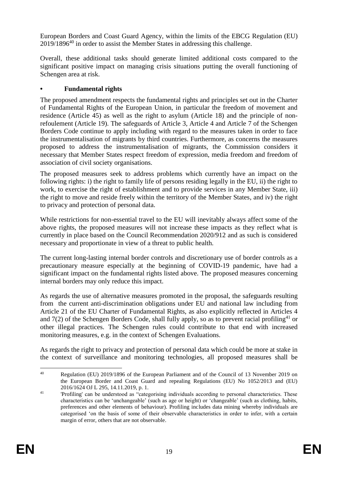European Borders and Coast Guard Agency, within the limits of the EBCG Regulation (EU)  $2019/1896<sup>40</sup>$  in order to assist the Member States in addressing this challenge.

Overall, these additional tasks should generate limited additional costs compared to the significant positive impact on managing crisis situations putting the overall functioning of Schengen area at risk.

## **• Fundamental rights**

The proposed amendment respects the fundamental rights and principles set out in the Charter of Fundamental Rights of the European Union, in particular the freedom of movement and residence (Article 45) as well as the right to asylum (Article 18) and the principle of nonrefoulement (Article 19). The safeguards of Article 3, Article 4 and Article 7 of the Schengen Borders Code continue to apply including with regard to the measures taken in order to face the instrumentalisation of migrants by third countries. Furthermore, as concerns the measures proposed to address the instrumentalisation of migrants, the Commission considers it necessary that Member States respect freedom of expression, media freedom and freedom of association of civil society organisations.

The proposed measures seek to address problems which currently have an impact on the following rights: i) the right to family life of persons residing legally in the EU, ii) the right to work, to exercise the right of establishment and to provide services in any Member State, iii) the right to move and reside freely within the territory of the Member States, and iv) the right to privacy and protection of personal data.

While restrictions for non-essential travel to the EU will inevitably always affect some of the above rights, the proposed measures will not increase these impacts as they reflect what is currently in place based on the Council Recommendation 2020/912 and as such is considered necessary and proportionate in view of a threat to public health.

The current long-lasting internal border controls and discretionary use of border controls as a precautionary measure especially at the beginning of COVID-19 pandemic, have had a significant impact on the fundamental rights listed above. The proposed measures concerning internal borders may only reduce this impact.

As regards the use of alternative measures promoted in the proposal, the safeguards resulting from the current anti-discrimination obligations under EU and national law including from Article 21 of the EU Charter of Fundamental Rights, as also explicitly reflected in Articles 4 and  $7(2)$  of the Schengen Borders Code, shall fully apply, so as to prevent racial profiling<sup>41</sup> or other illegal practices. The Schengen rules could contribute to that end with increased monitoring measures, e.g. in the context of Schengen Evaluations.

As regards the right to privacy and protection of personal data which could be more at stake in the context of surveillance and monitoring technologies, all proposed measures shall be

<sup>1</sup> <sup>40</sup> Regulation (EU) 2019/1896 of the European Parliament and of the Council of 13 November 2019 on the European Border and Coast Guard and repealing Regulations (EU) No 1052/2013 and (EU) 2016/1624 OJ L 295, 14.11.2019, p. 1.

<sup>&</sup>lt;sup>41</sup> 'Profiling' can be understood as "categorising individuals according to personal characteristics. These characteristics can be 'unchangeable' (such as age or height) or 'changeable' (such as clothing, habits, preferences and other elements of behaviour). Profiling includes data mining whereby individuals are categorised 'on the basis of some of their observable characteristics in order to infer, with a certain margin of error, others that are not observable.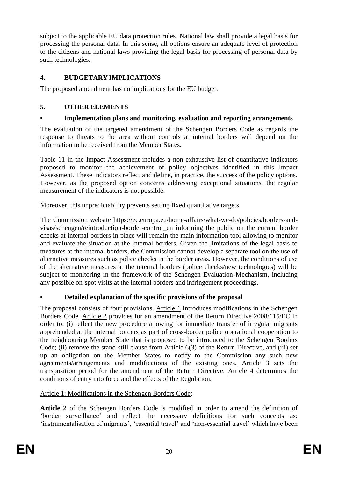subject to the applicable EU data protection rules. National law shall provide a legal basis for processing the personal data. In this sense, all options ensure an adequate level of protection to the citizens and national laws providing the legal basis for processing of personal data by such technologies.

# **4. BUDGETARY IMPLICATIONS**

The proposed amendment has no implications for the EU budget.

# **5. OTHER ELEMENTS**

# **• Implementation plans and monitoring, evaluation and reporting arrangements**

The evaluation of the targeted amendment of the Schengen Borders Code as regards the response to threats to the area without controls at internal borders will depend on the information to be received from the Member States.

Table 11 in the Impact Assessment includes a non-exhaustive list of quantitative indicators proposed to monitor the achievement of policy objectives identified in this Impact Assessment. These indicators reflect and define, in practice, the success of the policy options. However, as the proposed option concerns addressing exceptional situations, the regular measurement of the indicators is not possible.

Moreover, this unpredictability prevents setting fixed quantitative targets.

The Commission website [https://ec.europa.eu/home-affairs/what-we-do/policies/borders-and](https://ec.europa.eu/home-affairs/what-we-do/policies/borders-and-visas/schengen/reintroduction-border-control_en)[visas/schengen/reintroduction-border-control\\_en](https://ec.europa.eu/home-affairs/what-we-do/policies/borders-and-visas/schengen/reintroduction-border-control_en) informing the public on the current border checks at internal borders in place will remain the main information tool allowing to monitor and evaluate the situation at the internal borders. Given the limitations of the legal basis to measures at the internal borders, the Commission cannot develop a separate tool on the use of alternative measures such as police checks in the border areas. However, the conditions of use of the alternative measures at the internal borders (police checks/new technologies) will be subject to monitoring in the framework of the Schengen Evaluation Mechanism, including any possible on-spot visits at the internal borders and infringement proceedings.

# **• Detailed explanation of the specific provisions of the proposal**

The proposal consists of four provisions. Article 1 introduces modifications in the Schengen Borders Code. Article 2 provides for an amendment of the Return Directive 2008/115/EC in order to: (i) reflect the new procedure allowing for immediate transfer of irregular migrants apprehended at the internal borders as part of cross-border police operational cooperation to the neighbouring Member State that is proposed to be introduced to the Schengen Borders Code; (ii) remove the stand-still clause from Article 6(3) of the Return Directive, and (iii) set up an obligation on the Member States to notify to the Commission any such new agreements/arrangements and modifications of the existing ones. Article 3 sets the transposition period for the amendment of the Return Directive. Article 4 determines the conditions of entry into force and the effects of the Regulation.

# Article 1: Modifications in the Schengen Borders Code:

**Article 2** of the Schengen Borders Code is modified in order to amend the definition of 'border surveillance' and reflect the necessary definitions for such concepts as: 'instrumentalisation of migrants', 'essential travel' and 'non-essential travel' which have been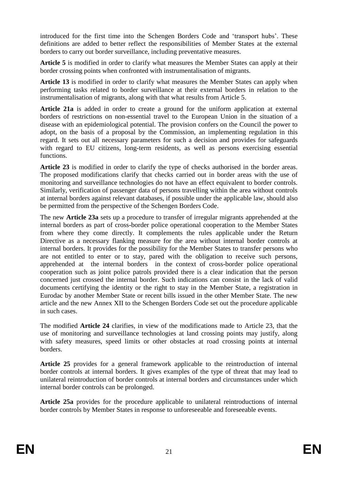introduced for the first time into the Schengen Borders Code and 'transport hubs'. These definitions are added to better reflect the responsibilities of Member States at the external borders to carry out border surveillance, including preventative measures.

Article 5 is modified in order to clarify what measures the Member States can apply at their border crossing points when confronted with instrumentalisation of migrants.

**Article 13** is modified in order to clarify what measures the Member States can apply when performing tasks related to border surveillance at their external borders in relation to the instrumentalisation of migrants, along with that what results from Article 5.

**Article 21a** is added in order to create a ground for the uniform application at external borders of restrictions on non-essential travel to the European Union in the situation of a disease with an epidemiological potential. The provision confers on the Council the power to adopt, on the basis of a proposal by the Commission, an implementing regulation in this regard. It sets out all necessary parameters for such a decision and provides for safeguards with regard to EU citizens, long-term residents, as well as persons exercising essential functions.

**Article 23** is modified in order to clarify the type of checks authorised in the border areas. The proposed modifications clarify that checks carried out in border areas with the use of monitoring and surveillance technologies do not have an effect equivalent to border controls. Similarly, verification of passenger data of persons travelling within the area without controls at internal borders against relevant databases, if possible under the applicable law, should also be permitted from the perspective of the Schengen Borders Code.

The new **Article 23a** sets up a procedure to transfer of irregular migrants apprehended at the internal borders as part of cross-border police operational cooperation to the Member States from where they come directly. It complements the rules applicable under the Return Directive as a necessary flanking measure for the area without internal border controls at internal borders. It provides for the possibility for the Member States to transfer persons who are not entitled to enter or to stay, pared with the obligation to receive such persons, apprehended at the internal borders in the context of cross-border police operational cooperation such as joint police patrols provided there is a clear indication that the person concerned just crossed the internal border. Such indications can consist in the lack of valid documents certifying the identity or the right to stay in the Member State, a registration in Eurodac by another Member State or recent bills issued in the other Member State. The new article and the new Annex XII to the Schengen Borders Code set out the procedure applicable in such cases.

The modified **Article 24** clarifies, in view of the modifications made to Article 23, that the use of monitoring and surveillance technologies at land crossing points may justify, along with safety measures, speed limits or other obstacles at road crossing points at internal borders.

**Article 25** provides for a general framework applicable to the reintroduction of internal border controls at internal borders. It gives examples of the type of threat that may lead to unilateral reintroduction of border controls at internal borders and circumstances under which internal border controls can be prolonged.

**Article 25a** provides for the procedure applicable to unilateral reintroductions of internal border controls by Member States in response to unforeseeable and foreseeable events.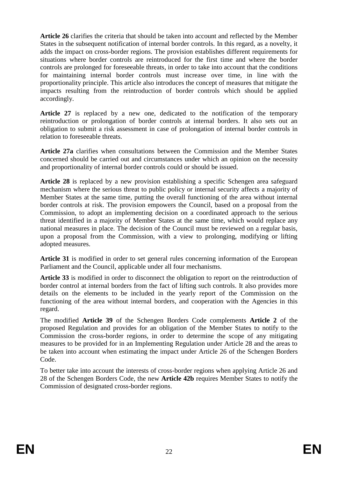**Article 26** clarifies the criteria that should be taken into account and reflected by the Member States in the subsequent notification of internal border controls. In this regard, as a novelty, it adds the impact on cross-border regions. The provision establishes different requirements for situations where border controls are reintroduced for the first time and where the border controls are prolonged for foreseeable threats, in order to take into account that the conditions for maintaining internal border controls must increase over time, in line with the proportionality principle. This article also introduces the concept of measures that mitigate the impacts resulting from the reintroduction of border controls which should be applied accordingly.

**Article 27** is replaced by a new one, dedicated to the notification of the temporary reintroduction or prolongation of border controls at internal borders. It also sets out an obligation to submit a risk assessment in case of prolongation of internal border controls in relation to foreseeable threats.

**Article 27a** clarifies when consultations between the Commission and the Member States concerned should be carried out and circumstances under which an opinion on the necessity and proportionality of internal border controls could or should be issued.

**Article 28** is replaced by a new provision establishing a specific Schengen area safeguard mechanism where the serious threat to public policy or internal security affects a majority of Member States at the same time, putting the overall functioning of the area without internal border controls at risk. The provision empowers the Council, based on a proposal from the Commission, to adopt an implementing decision on a coordinated approach to the serious threat identified in a majority of Member States at the same time, which would replace any national measures in place. The decision of the Council must be reviewed on a regular basis, upon a proposal from the Commission, with a view to prolonging, modifying or lifting adopted measures.

**Article 31** is modified in order to set general rules concerning information of the European Parliament and the Council, applicable under all four mechanisms.

**Article 33** is modified in order to disconnect the obligation to report on the reintroduction of border control at internal borders from the fact of lifting such controls. It also provides more details on the elements to be included in the yearly report of the Commission on the functioning of the area without internal borders, and cooperation with the Agencies in this regard.

The modified **Article 39** of the Schengen Borders Code complements **Article 2** of the proposed Regulation and provides for an obligation of the Member States to notify to the Commission the cross-border regions, in order to determine the scope of any mitigating measures to be provided for in an Implementing Regulation under Article 28 and the areas to be taken into account when estimating the impact under Article 26 of the Schengen Borders Code.

To better take into account the interests of cross-border regions when applying Article 26 and 28 of the Schengen Borders Code, the new **Article 42b** requires Member States to notify the Commission of designated cross-border regions.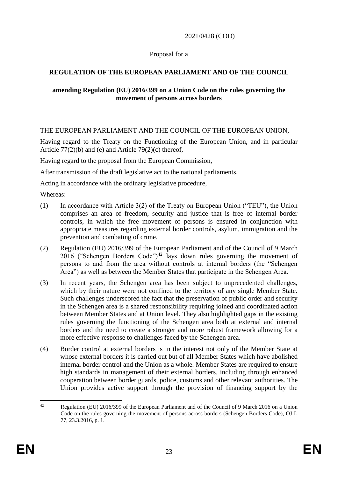2021/0428 (COD)

## Proposal for a

# **REGULATION OF THE EUROPEAN PARLIAMENT AND OF THE COUNCIL**

#### **amending Regulation (EU) 2016/399 on a Union Code on the rules governing the movement of persons across borders**

## THE EUROPEAN PARLIAMENT AND THE COUNCIL OF THE EUROPEAN UNION,

Having regard to the Treaty on the Functioning of the European Union, and in particular Article 77(2)(b) and (e) and Article 79(2)(c) thereof,

Having regard to the proposal from the European Commission,

After transmission of the draft legislative act to the national parliaments,

Acting in accordance with the ordinary legislative procedure,

Whereas:

- (1) In accordance with Article 3(2) of the Treaty on European Union ("TEU"), the Union comprises an area of freedom, security and justice that is free of internal border controls, in which the free movement of persons is ensured in conjunction with appropriate measures regarding external border controls, asylum, immigration and the prevention and combating of crime.
- (2) Regulation (EU) 2016/399 of the European Parliament and of the Council of 9 March 2016 ("Schengen Borders Code")<sup>42</sup> lays down rules governing the movement of persons to and from the area without controls at internal borders (the "Schengen Area") as well as between the Member States that participate in the Schengen Area.
- (3) In recent years, the Schengen area has been subject to unprecedented challenges, which by their nature were not confined to the territory of any single Member State. Such challenges underscored the fact that the preservation of public order and security in the Schengen area is a shared responsibility requiring joined and coordinated action between Member States and at Union level. They also highlighted gaps in the existing rules governing the functioning of the Schengen area both at external and internal borders and the need to create a stronger and more robust framework allowing for a more effective response to challenges faced by the Schengen area.
- (4) Border control at external borders is in the interest not only of the Member State at whose external borders it is carried out but of all Member States which have abolished internal border control and the Union as a whole. Member States are required to ensure high standards in management of their external borders, including through enhanced cooperation between border guards, police, customs and other relevant authorities. The Union provides active support through the provision of financing support by the

 $\Delta$ 2 Regulation (EU) 2016/399 of the European Parliament and of the Council of 9 March 2016 on a Union Code on the rules governing the movement of persons across borders (Schengen Borders Code), OJ L 77, 23.3.2016, p. 1.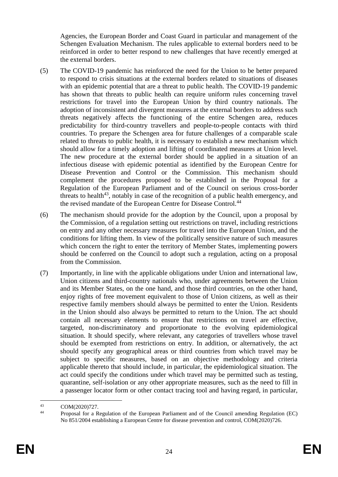Agencies, the European Border and Coast Guard in particular and management of the Schengen Evaluation Mechanism. The rules applicable to external borders need to be reinforced in order to better respond to new challenges that have recently emerged at the external borders.

- (5) The COVID-19 pandemic has reinforced the need for the Union to be better prepared to respond to crisis situations at the external borders related to situations of diseases with an epidemic potential that are a threat to public health. The COVID-19 pandemic has shown that threats to public health can require uniform rules concerning travel restrictions for travel into the European Union by third country nationals. The adoption of inconsistent and divergent measures at the external borders to address such threats negatively affects the functioning of the entire Schengen area, reduces predictability for third-country travellers and people-to-people contacts with third countries. To prepare the Schengen area for future challenges of a comparable scale related to threats to public health, it is necessary to establish a new mechanism which should allow for a timely adoption and lifting of coordinated measures at Union level. The new procedure at the external border should be applied in a situation of an infectious disease with epidemic potential as identified by the European Centre for Disease Prevention and Control or the Commission. This mechanism should complement the procedures proposed to be established in the Proposal for a Regulation of the European Parliament and of the Council on serious cross-border threats to health<sup>43</sup>, notably in case of the recognition of a public health emergency, and the revised mandate of the European Centre for Disease Control.<sup>44</sup>
- (6) The mechanism should provide for the adoption by the Council, upon a proposal by the Commission, of a regulation setting out restrictions on travel, including restrictions on entry and any other necessary measures for travel into the European Union, and the conditions for lifting them. In view of the politically sensitive nature of such measures which concern the right to enter the territory of Member States, implementing powers should be conferred on the Council to adopt such a regulation, acting on a proposal from the Commission.
- (7) Importantly, in line with the applicable obligations under Union and international law, Union citizens and third-country nationals who, under agreements between the Union and its Member States, on the one hand, and those third countries, on the other hand, enjoy rights of free movement equivalent to those of Union citizens, as well as their respective family members should always be permitted to enter the Union. Residents in the Union should also always be permitted to return to the Union. The act should contain all necessary elements to ensure that restrictions on travel are effective, targeted, non-discriminatory and proportionate to the evolving epidemiological situation. It should specify, where relevant, any categories of travellers whose travel should be exempted from restrictions on entry. In addition, or alternatively, the act should specify any geographical areas or third countries from which travel may be subject to specific measures, based on an objective methodology and criteria applicable thereto that should include, in particular, the epidemiological situation. The act could specify the conditions under which travel may be permitted such as testing, quarantine, self-isolation or any other appropriate measures, such as the need to fill in a passenger locator form or other contact tracing tool and having regard, in particular,

 $43$  $^{43}$  COM(2020)727.

<sup>44</sup> Proposal for a Regulation of the European Parliament and of the Council amending Regulation (EC) No 851/2004 establishing a European Centre for disease prevention and control, COM(2020)726.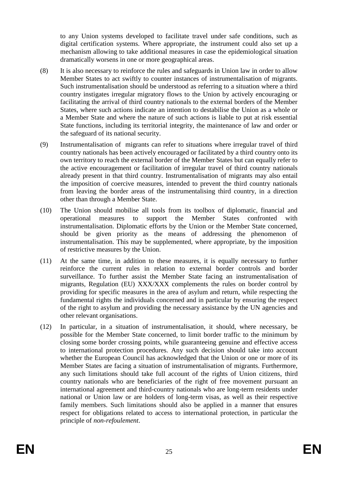to any Union systems developed to facilitate travel under safe conditions, such as digital certification systems. Where appropriate, the instrument could also set up a mechanism allowing to take additional measures in case the epidemiological situation dramatically worsens in one or more geographical areas.

- (8) It is also necessary to reinforce the rules and safeguards in Union law in order to allow Member States to act swiftly to counter instances of instrumentalisation of migrants. Such instrumentalisation should be understood as referring to a situation where a third country instigates irregular migratory flows to the Union by actively encouraging or facilitating the arrival of third country nationals to the external borders of the Member States, where such actions indicate an intention to destabilise the Union as a whole or a Member State and where the nature of such actions is liable to put at risk essential State functions, including its territorial integrity, the maintenance of law and order or the safeguard of its national security.
- (9) Instrumentalisation of migrants can refer to situations where irregular travel of third country nationals has been actively encouraged or facilitated by a third country onto its own territory to reach the external border of the Member States but can equally refer to the active encouragement or facilitation of irregular travel of third country nationals already present in that third country. Instrumentalisation of migrants may also entail the imposition of coercive measures, intended to prevent the third country nationals from leaving the border areas of the instrumentalising third country, in a direction other than through a Member State.
- (10) The Union should mobilise all tools from its toolbox of diplomatic, financial and operational measures to support the Member States confronted with instrumentalisation. Diplomatic efforts by the Union or the Member State concerned, should be given priority as the means of addressing the phenomenon of instrumentalisation. This may be supplemented, where appropriate, by the imposition of restrictive measures by the Union.
- (11) At the same time, in addition to these measures, it is equally necessary to further reinforce the current rules in relation to external border controls and border surveillance. To further assist the Member State facing an instrumentalisation of migrants, Regulation (EU) XXX/XXX complements the rules on border control by providing for specific measures in the area of asylum and return, while respecting the fundamental rights the individuals concerned and in particular by ensuring the respect of the right to asylum and providing the necessary assistance by the UN agencies and other relevant organisations.
- (12) In particular, in a situation of instrumentalisation, it should, where necessary, be possible for the Member State concerned, to limit border traffic to the minimum by closing some border crossing points, while guaranteeing genuine and effective access to international protection procedures. Any such decision should take into account whether the European Council has acknowledged that the Union or one or more of its Member States are facing a situation of instrumentalisation of migrants. Furthermore, any such limitations should take full account of the rights of Union citizens, third country nationals who are beneficiaries of the right of free movement pursuant an international agreement and third-country nationals who are long-term residents under national or Union law or are holders of long-term visas, as well as their respective family members. Such limitations should also be applied in a manner that ensures respect for obligations related to access to international protection, in particular the principle of *non-refoulement*.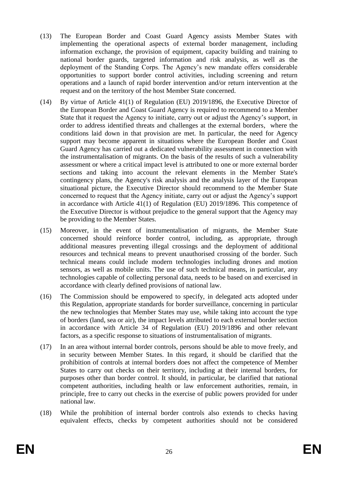- (13) The European Border and Coast Guard Agency assists Member States with implementing the operational aspects of external border management, including information exchange, the provision of equipment, capacity building and training to national border guards, targeted information and risk analysis, as well as the deployment of the Standing Corps. The Agency's new mandate offers considerable opportunities to support border control activities, including screening and return operations and a launch of rapid border intervention and/or return intervention at the request and on the territory of the host Member State concerned.
- (14) By virtue of Article 41(1) of Regulation (EU) 2019/1896, the Executive Director of the European Border and Coast Guard Agency is required to recommend to a Member State that it request the Agency to initiate, carry out or adjust the Agency's support, in order to address identified threats and challenges at the external borders, where the conditions laid down in that provision are met. In particular, the need for Agency support may become apparent in situations where the European Border and Coast Guard Agency has carried out a dedicated vulnerability assessment in connection with the instrumentalisation of migrants. On the basis of the results of such a vulnerability assessment or where a critical impact level is attributed to one or more external border sections and taking into account the relevant elements in the Member State's contingency plans, the Agency's risk analysis and the analysis layer of the European situational picture, the Executive Director should recommend to the Member State concerned to request that the Agency initiate, carry out or adjust the Agency's support in accordance with Article 41(1) of Regulation (EU) 2019/1896. This competence of the Executive Director is without prejudice to the general support that the Agency may be providing to the Member States.
- (15) Moreover, in the event of instrumentalisation of migrants, the Member State concerned should reinforce border control, including, as appropriate, through additional measures preventing illegal crossings and the deployment of additional resources and technical means to prevent unauthorised crossing of the border. Such technical means could include modern technologies including drones and motion sensors, as well as mobile units. The use of such technical means, in particular, any technologies capable of collecting personal data, needs to be based on and exercised in accordance with clearly defined provisions of national law.
- (16) The Commission should be empowered to specify, in delegated acts adopted under this Regulation, appropriate standards for border surveillance, concerning in particular the new technologies that Member States may use, while taking into account the type of borders (land, sea or air), the impact levels attributed to each external border section in accordance with Article 34 of Regulation (EU) 2019/1896 and other relevant factors, as a specific response to situations of instrumentalisation of migrants.
- (17) In an area without internal border controls, persons should be able to move freely, and in security between Member States. In this regard, it should be clarified that the prohibition of controls at internal borders does not affect the competence of Member States to carry out checks on their territory, including at their internal borders, for purposes other than border control. It should, in particular, be clarified that national competent authorities, including health or law enforcement authorities, remain, in principle, free to carry out checks in the exercise of public powers provided for under national law.
- (18) While the prohibition of internal border controls also extends to checks having equivalent effects, checks by competent authorities should not be considered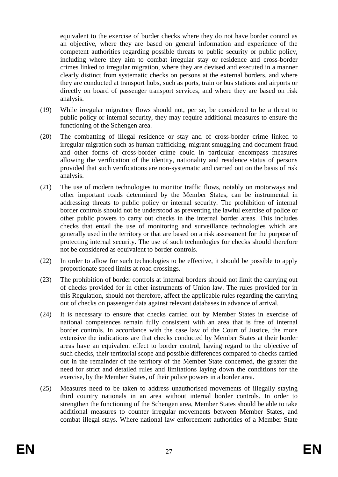equivalent to the exercise of border checks where they do not have border control as an objective, where they are based on general information and experience of the competent authorities regarding possible threats to public security or public policy, including where they aim to combat irregular stay or residence and cross-border crimes linked to irregular migration, where they are devised and executed in a manner clearly distinct from systematic checks on persons at the external borders, and where they are conducted at transport hubs, such as ports, train or bus stations and airports or directly on board of passenger transport services, and where they are based on risk analysis.

- (19) While irregular migratory flows should not, per se, be considered to be a threat to public policy or internal security, they may require additional measures to ensure the functioning of the Schengen area.
- (20) The combatting of illegal residence or stay and of cross-border crime linked to irregular migration such as human trafficking, migrant smuggling and document fraud and other forms of cross-border crime could in particular encompass measures allowing the verification of the identity, nationality and residence status of persons provided that such verifications are non-systematic and carried out on the basis of risk analysis.
- (21) The use of modern technologies to monitor traffic flows, notably on motorways and other important roads determined by the Member States, can be instrumental in addressing threats to public policy or internal security. The prohibition of internal border controls should not be understood as preventing the lawful exercise of police or other public powers to carry out checks in the internal border areas. This includes checks that entail the use of monitoring and surveillance technologies which are generally used in the territory or that are based on a risk assessment for the purpose of protecting internal security. The use of such technologies for checks should therefore not be considered as equivalent to border controls.
- (22) In order to allow for such technologies to be effective, it should be possible to apply proportionate speed limits at road crossings.
- (23) The prohibition of border controls at internal borders should not limit the carrying out of checks provided for in other instruments of Union law. The rules provided for in this Regulation, should not therefore, affect the applicable rules regarding the carrying out of checks on passenger data against relevant databases in advance of arrival.
- (24) It is necessary to ensure that checks carried out by Member States in exercise of national competences remain fully consistent with an area that is free of internal border controls. In accordance with the case law of the Court of Justice, the more extensive the indications are that checks conducted by Member States at their border areas have an equivalent effect to border control, having regard to the objective of such checks, their territorial scope and possible differences compared to checks carried out in the remainder of the territory of the Member State concerned, the greater the need for strict and detailed rules and limitations laying down the conditions for the exercise, by the Member States, of their police powers in a border area.
- (25) Measures need to be taken to address unauthorised movements of illegally staying third country nationals in an area without internal border controls. In order to strengthen the functioning of the Schengen area, Member States should be able to take additional measures to counter irregular movements between Member States, and combat illegal stays. Where national law enforcement authorities of a Member State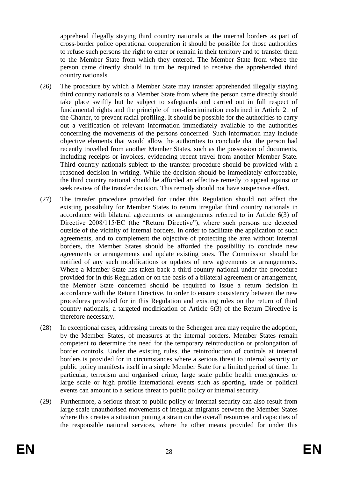apprehend illegally staying third country nationals at the internal borders as part of cross-border police operational cooperation it should be possible for those authorities to refuse such persons the right to enter or remain in their territory and to transfer them to the Member State from which they entered. The Member State from where the person came directly should in turn be required to receive the apprehended third country nationals.

- (26) The procedure by which a Member State may transfer apprehended illegally staying third country nationals to a Member State from where the person came directly should take place swiftly but be subject to safeguards and carried out in full respect of fundamental rights and the principle of non-discrimination enshrined in Article 21 of the Charter, to prevent racial profiling. It should be possible for the authorities to carry out a verification of relevant information immediately available to the authorities concerning the movements of the persons concerned. Such information may include objective elements that would allow the authorities to conclude that the person had recently travelled from another Member States, such as the possession of documents, including receipts or invoices, evidencing recent travel from another Member State. Third country nationals subject to the transfer procedure should be provided with a reasoned decision in writing. While the decision should be immediately enforceable, the third country national should be afforded an effective remedy to appeal against or seek review of the transfer decision. This remedy should not have suspensive effect.
- (27) The transfer procedure provided for under this Regulation should not affect the existing possibility for Member States to return irregular third country nationals in accordance with bilateral agreements or arrangements referred to in Article 6(3) of Directive 2008/115/EC (the "Return Directive"), where such persons are detected outside of the vicinity of internal borders. In order to facilitate the application of such agreements, and to complement the objective of protecting the area without internal borders, the Member States should be afforded the possibility to conclude new agreements or arrangements and update existing ones. The Commission should be notified of any such modifications or updates of new agreements or arrangements. Where a Member State has taken back a third country national under the procedure provided for in this Regulation or on the basis of a bilateral agreement or arrangement, the Member State concerned should be required to issue a return decision in accordance with the Return Directive. In order to ensure consistency between the new procedures provided for in this Regulation and existing rules on the return of third country nationals, a targeted modification of Article 6(3) of the Return Directive is therefore necessary.
- (28) In exceptional cases, addressing threats to the Schengen area may require the adoption, by the Member States, of measures at the internal borders. Member States remain competent to determine the need for the temporary reintroduction or prolongation of border controls. Under the existing rules, the reintroduction of controls at internal borders is provided for in circumstances where a serious threat to internal security or public policy manifests itself in a single Member State for a limited period of time. In particular, terrorism and organised crime, large scale public health emergencies or large scale or high profile international events such as sporting, trade or political events can amount to a serious threat to public policy or internal security.
- (29) Furthermore, a serious threat to public policy or internal security can also result from large scale unauthorised movements of irregular migrants between the Member States where this creates a situation putting a strain on the overall resources and capacities of the responsible national services, where the other means provided for under this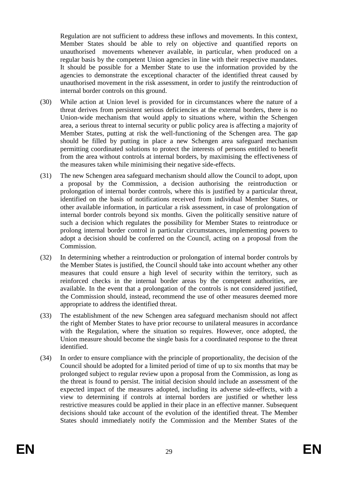Regulation are not sufficient to address these inflows and movements. In this context, Member States should be able to rely on objective and quantified reports on unauthorised movements whenever available, in particular, when produced on a regular basis by the competent Union agencies in line with their respective mandates. It should be possible for a Member State to use the information provided by the agencies to demonstrate the exceptional character of the identified threat caused by unauthorised movement in the risk assessment, in order to justify the reintroduction of internal border controls on this ground.

- (30) While action at Union level is provided for in circumstances where the nature of a threat derives from persistent serious deficiencies at the external borders, there is no Union-wide mechanism that would apply to situations where, within the Schengen area, a serious threat to internal security or public policy area is affecting a majority of Member States, putting at risk the well-functioning of the Schengen area. The gap should be filled by putting in place a new Schengen area safeguard mechanism permitting coordinated solutions to protect the interests of persons entitled to benefit from the area without controls at internal borders, by maximising the effectiveness of the measures taken while minimising their negative side-effects.
- (31) The new Schengen area safeguard mechanism should allow the Council to adopt, upon a proposal by the Commission, a decision authorising the reintroduction or prolongation of internal border controls, where this is justified by a particular threat, identified on the basis of notifications received from individual Member States, or other available information, in particular a risk assessment, in case of prolongation of internal border controls beyond six months. Given the politically sensitive nature of such a decision which regulates the possibility for Member States to reintroduce or prolong internal border control in particular circumstances, implementing powers to adopt a decision should be conferred on the Council, acting on a proposal from the Commission.
- (32) In determining whether a reintroduction or prolongation of internal border controls by the Member States is justified, the Council should take into account whether any other measures that could ensure a high level of security within the territory, such as reinforced checks in the internal border areas by the competent authorities, are available. In the event that a prolongation of the controls is not considered justified, the Commission should, instead, recommend the use of other measures deemed more appropriate to address the identified threat.
- (33) The establishment of the new Schengen area safeguard mechanism should not affect the right of Member States to have prior recourse to unilateral measures in accordance with the Regulation, where the situation so requires. However, once adopted, the Union measure should become the single basis for a coordinated response to the threat identified.
- (34) In order to ensure compliance with the principle of proportionality, the decision of the Council should be adopted for a limited period of time of up to six months that may be prolonged subject to regular review upon a proposal from the Commission, as long as the threat is found to persist. The initial decision should include an assessment of the expected impact of the measures adopted, including its adverse side-effects, with a view to determining if controls at internal borders are justified or whether less restrictive measures could be applied in their place in an effective manner. Subsequent decisions should take account of the evolution of the identified threat. The Member States should immediately notify the Commission and the Member States of the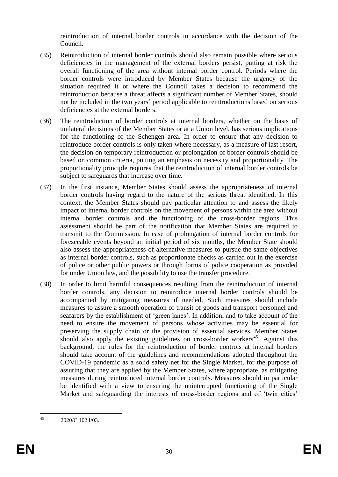reintroduction of internal border controls in accordance with the decision of the Council.

- (35) Reintroduction of internal border controls should also remain possible where serious deficiencies in the management of the external borders persist, putting at risk the overall functioning of the area without internal border control. Periods where the border controls were introduced by Member States because the urgency of the situation required it or where the Council takes a decision to recommend the reintroduction because a threat affects a significant number of Member States, should not be included in the two years' period applicable to reintroductions based on serious deficiencies at the external borders.
- (36) The reintroduction of border controls at internal borders, whether on the basis of unilateral decisions of the Member States or at a Union level, has serious implications for the functioning of the Schengen area. In order to ensure that any decision to reintroduce border controls is only taken where necessary, as a measure of last resort, the decision on temporary reintroduction or prolongation of border controls should be based on common criteria, putting an emphasis on necessity and proportionality. The proportionality principle requires that the reintroduction of internal border controls be subject to safeguards that increase over time.
- (37) In the first instance, Member States should assess the appropriateness of internal border controls having regard to the nature of the serious threat identified. In this context, the Member States should pay particular attention to and assess the likely impact of internal border controls on the movement of persons within the area without internal border controls and the functioning of the cross-border regions. This assessment should be part of the notification that Member States are required to transmit to the Commission. In case of prolongation of internal border controls for foreseeable events beyond an initial period of six months, the Member State should also assess the appropriateness of alternative measures to pursue the same objectives as internal border controls, such as proportionate checks as carried out in the exercise of police or other public powers or through forms of police cooperation as provided for under Union law, and the possibility to use the transfer procedure.
- (38) In order to limit harmful consequences resulting from the reintroduction of internal border controls, any decision to reintroduce internal border controls should be accompanied by mitigating measures if needed. Such measures should include measures to assure a smooth operation of transit of goods and transport personnel and seafarers by the establishment of 'green lanes'. In addition, and to take account of the need to ensure the movement of persons whose activities may be essential for preserving the supply chain or the provision of essential services, Member States should also apply the existing guidelines on cross-border workers<sup>45</sup>. Against this background, the rules for the reintroduction of border controls at internal borders should take account of the guidelines and recommendations adopted throughout the COVID-19 pandemic as a solid safety net for the Single Market, for the purpose of assuring that they are applied by the Member States, where appropriate, as mitigating measures during reintroduced internal border controls. Measures should in particular be identified with a view to ensuring the uninterrupted functioning of the Single Market and safeguarding the interests of cross-border regions and of 'twin cities'

 $45$ 2020/C 102 I/03.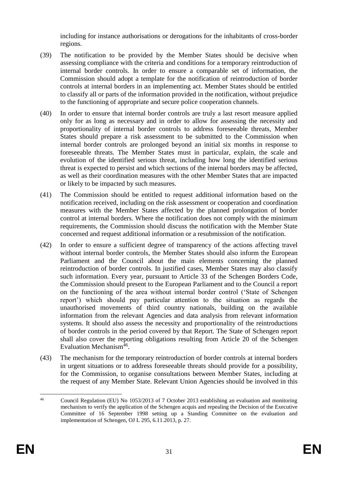including for instance authorisations or derogations for the inhabitants of cross-border regions.

- (39) The notification to be provided by the Member States should be decisive when assessing compliance with the criteria and conditions for a temporary reintroduction of internal border controls. In order to ensure a comparable set of information, the Commission should adopt a template for the notification of reintroduction of border controls at internal borders in an implementing act. Member States should be entitled to classify all or parts of the information provided in the notification, without prejudice to the functioning of appropriate and secure police cooperation channels.
- (40) In order to ensure that internal border controls are truly a last resort measure applied only for as long as necessary and in order to allow for assessing the necessity and proportionality of internal border controls to address foreseeable threats, Member States should prepare a risk assessment to be submitted to the Commission when internal border controls are prolonged beyond an initial six months in response to foreseeable threats. The Member States must in particular, explain, the scale and evolution of the identified serious threat, including how long the identified serious threat is expected to persist and which sections of the internal borders may be affected, as well as their coordination measures with the other Member States that are impacted or likely to be impacted by such measures.
- (41) The Commission should be entitled to request additional information based on the notification received, including on the risk assessment or cooperation and coordination measures with the Member States affected by the planned prolongation of border control at internal borders. Where the notification does not comply with the minimum requirements, the Commission should discuss the notification with the Member State concerned and request additional information or a resubmission of the notification.
- (42) In order to ensure a sufficient degree of transparency of the actions affecting travel without internal border controls, the Member States should also inform the European Parliament and the Council about the main elements concerning the planned reintroduction of border controls. In justified cases, Member States may also classify such information. Every year, pursuant to Article 33 of the Schengen Borders Code, the Commission should present to the European Parliament and to the Council a report on the functioning of the area without internal border control ('State of Schengen report') which should pay particular attention to the situation as regards the unauthorised movements of third country nationals, building on the available information from the relevant Agencies and data analysis from relevant information systems. It should also assess the necessity and proportionality of the reintroductions of border controls in the period covered by that Report. The State of Schengen report shall also cover the reporting obligations resulting from Article 20 of the Schengen Evaluation Mechanism<sup>46</sup>.
- (43) The mechanism for the temporary reintroduction of border controls at internal borders in urgent situations or to address foreseeable threats should provide for a possibility, for the Commission, to organise consultations between Member States, including at the request of any Member State. Relevant Union Agencies should be involved in this

 $46$ <sup>46</sup> Council Regulation (EU) No 1053/2013 of 7 October 2013 establishing an evaluation and monitoring mechanism to verify the application of the Schengen acquis and repealing the Decision of the Executive Committee of 16 September 1998 setting up a Standing Committee on the evaluation and implementation of Schengen, OJ L 295, 6.11.2013, p. 27.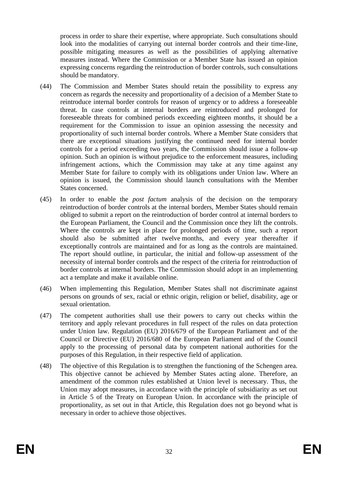process in order to share their expertise, where appropriate. Such consultations should look into the modalities of carrying out internal border controls and their time-line, possible mitigating measures as well as the possibilities of applying alternative measures instead. Where the Commission or a Member State has issued an opinion expressing concerns regarding the reintroduction of border controls, such consultations should be mandatory.

- (44) The Commission and Member States should retain the possibility to express any concern as regards the necessity and proportionality of a decision of a Member State to reintroduce internal border controls for reason of urgency or to address a foreseeable threat. In case controls at internal borders are reintroduced and prolonged for foreseeable threats for combined periods exceeding eighteen months, it should be a requirement for the Commission to issue an opinion assessing the necessity and proportionality of such internal border controls. Where a Member State considers that there are exceptional situations justifying the continued need for internal border controls for a period exceeding two years, the Commission should issue a follow-up opinion. Such an opinion is without prejudice to the enforcement measures, including infringement actions, which the Commission may take at any time against any Member State for failure to comply with its obligations under Union law. Where an opinion is issued, the Commission should launch consultations with the Member States concerned.
- (45) In order to enable the *post factum* analysis of the decision on the temporary reintroduction of border controls at the internal borders, Member States should remain obliged to submit a report on the reintroduction of border control at internal borders to the European Parliament, the Council and the Commission once they lift the controls. Where the controls are kept in place for prolonged periods of time, such a report should also be submitted after twelve months, and every year thereafter if exceptionally controls are maintained and for as long as the controls are maintained. The report should outline, in particular, the initial and follow-up assessment of the necessity of internal border controls and the respect of the criteria for reintroduction of border controls at internal borders. The Commission should adopt in an implementing act a template and make it available online.
- (46) When implementing this Regulation, Member States shall not discriminate against persons on grounds of sex, racial or ethnic origin, religion or belief, disability, age or sexual orientation.
- (47) The competent authorities shall use their powers to carry out checks within the territory and apply relevant procedures in full respect of the rules on data protection under Union law. Regulation (EU) 2016/679 of the European Parliament and of the Council or Directive (EU) 2016/680 of the European Parliament and of the Council apply to the processing of personal data by competent national authorities for the purposes of this Regulation, in their respective field of application.
- (48) The objective of this Regulation is to strengthen the functioning of the Schengen area. This objective cannot be achieved by Member States acting alone. Therefore, an amendment of the common rules established at Union level is necessary. Thus, the Union may adopt measures, in accordance with the principle of subsidiarity as set out in Article 5 of the Treaty on European Union. In accordance with the principle of proportionality, as set out in that Article, this Regulation does not go beyond what is necessary in order to achieve those objectives.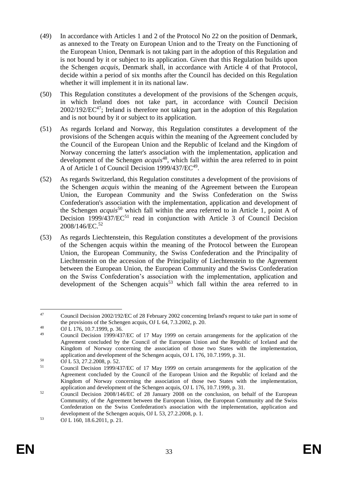- (49) In accordance with Articles 1 and 2 of the Protocol No 22 on the position of Denmark, as annexed to the Treaty on European Union and to the Treaty on the Functioning of the European Union, Denmark is not taking part in the adoption of this Regulation and is not bound by it or subject to its application. Given that this Regulation builds upon the Schengen *acquis*, Denmark shall, in accordance with Article 4 of that Protocol, decide within a period of six months after the Council has decided on this Regulation whether it will implement it in its national law.
- (50) This Regulation constitutes a development of the provisions of the Schengen *acquis*, in which Ireland does not take part, in accordance with Council Decision  $2002/192/EC^{47}$ ; Ireland is therefore not taking part in the adoption of this Regulation and is not bound by it or subject to its application.
- (51) As regards Iceland and Norway, this Regulation constitutes a development of the provisions of the Schengen acquis within the meaning of the Agreement concluded by the Council of the European Union and the Republic of Iceland and the Kingdom of Norway concerning the latter's association with the implementation, application and development of the Schengen *acquis*<sup>48</sup>, which fall within the area referred to in point A of Article 1 of Council Decision 1999/437/EC<sup>49</sup>.
- (52) As regards Switzerland, this Regulation constitutes a development of the provisions of the Schengen *acquis* within the meaning of the Agreement between the European Union, the European Community and the Swiss Confederation on the Swiss Confederation's association with the implementation, application and development of the Schengen *acquis*<sup>50</sup> which fall within the area referred to in Article 1, point A of Decision 1999/437/EC<sup>51</sup> read in conjunction with Article 3 of Council Decision 2008/146/EC.<sup>52</sup>
- (53) As regards Liechtenstein, this Regulation constitutes a development of the provisions of the Schengen acquis within the meaning of the Protocol between the European Union, the European Community, the Swiss Confederation and the Principality of Liechtenstein on the accession of the Principality of Liechtenstein to the Agreement between the European Union, the European Community and the Swiss Confederation on the Swiss Confederation's association with the implementation, application and development of the Schengen acquis<sup>53</sup> which fall within the area referred to in

<sup>1</sup> <sup>47</sup> Council Decision 2002/192/EC of 28 February 2002 concerning Ireland's request to take part in some of the provisions of the Schengen acquis, OJ L 64, 7.3.2002, p. 20.

<sup>&</sup>lt;sup>48</sup> OJ L 176, 10.7.1999, p. 36.

<sup>49</sup> Council Decision 1999/437/EC of 17 May 1999 on certain arrangements for the application of the Agreement concluded by the Council of the European Union and the Republic of Iceland and the Kingdom of Norway concerning the association of those two States with the implementation, application and development of the Schengen acquis, OJ L 176, 10.7.1999, p. 31.

<sup>50</sup> OJ L 53, 27.2.2008, p. 52.

<sup>51</sup> Council Decision 1999/437/EC of 17 May 1999 on certain arrangements for the application of the Agreement concluded by the Council of the European Union and the Republic of Iceland and the Kingdom of Norway concerning the association of those two States with the implementation, application and development of the Schengen acquis, OJ L 176, 10.7.1999, p. 31.

 $52$  Council Decision 2008/146/EC of 28 January 2008 on the conclusion, on behalf of the European Community, of the Agreement between the European Union, the European Community and the Swiss Confederation on the Swiss Confederation's association with the implementation, application and development of the Schengen acquis, OJ L 53, 27.2.2008, p. 1.

<sup>53</sup> OJ L 160, 18.6.2011, p. 21.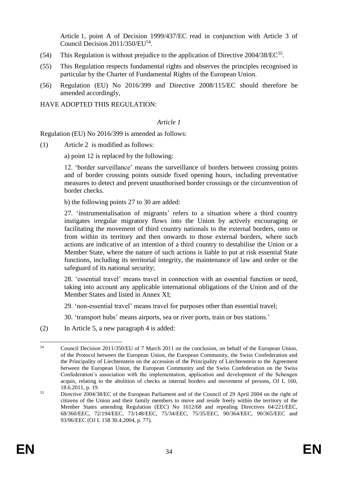Article 1, point A of Decision 1999/437/EC read in conjunction with Article 3 of Council Decision 2011/350/EU<sup>54</sup>.

- (54) This Regulation is without prejudice to the application of Directive  $2004/38/EC^{55}$ .
- (55) This Regulation respects fundamental rights and observes the principles recognised in particular by the Charter of Fundamental Rights of the European Union.
- (56) Regulation (EU) No 2016/399 and Directive 2008/115/EC should therefore be amended accordingly,

HAVE ADOPTED THIS REGULATION:

#### *Article 1*

Regulation (EU) No 2016/399 is amended as follows:

(1) Article 2 is modified as follows:

a) point 12 is replaced by the following:

12. 'border surveillance' means the surveillance of borders between crossing points and of border crossing points outside fixed opening hours, including preventative measures to detect and prevent unauthorised border crossings or the circumvention of border checks.

b) the following points 27 to 30 are added:

27. 'instrumentalisation of migrants' refers to a situation where a third country instigates irregular migratory flows into the Union by actively encouraging or facilitating the movement of third country nationals to the external borders, onto or from within its territory and then onwards to those external borders, where such actions are indicative of an intention of a third country to destabilise the Union or a Member State, where the nature of such actions is liable to put at risk essential State functions, including its territorial integrity, the maintenance of law and order or the safeguard of its national security;

28. 'essential travel' means travel in connection with an essential function or need, taking into account any applicable international obligations of the Union and of the Member States and listed in Annex XI;

29. 'non-essential travel' means travel for purposes other than essential travel;

30. 'transport hubs' means airports, sea or river ports, train or bus stations.'

(2) In Article 5, a new paragraph 4 is added:

 $54$ <sup>54</sup> Council Decision 2011/350/EU of 7 March 2011 on the conclusion, on behalf of the European Union, of the Protocol between the European Union, the European Community, the Swiss Confederation and the Principality of Liechtenstein on the accession of the Principality of Liechtenstein to the Agreement between the European Union, the European Community and the Swiss Confederation on the Swiss Confederation's association with the implementation, application and development of the Schengen acquis, relating to the abolition of checks at internal borders and movement of persons, OJ L 160, 18.6.2011, p. 19.

<sup>&</sup>lt;sup>55</sup> Directive 2004/38/EC of the European Parliament and of the Council of 29 April 2004 on the right of citizens of the Union and their family members to move and reside freely within the territory of the Member States amending Regulation (EEC) No 1612/68 and repealing Directives 64/221/EEC, 68/360/EEC, 72/194/EEC, 73/148/EEC, 75/34/EEC, 75/35/EEC, 90/364/EEC, 90/365/EEC and 93/96/EEC (OJ L 158 30.4.2004, p. 77).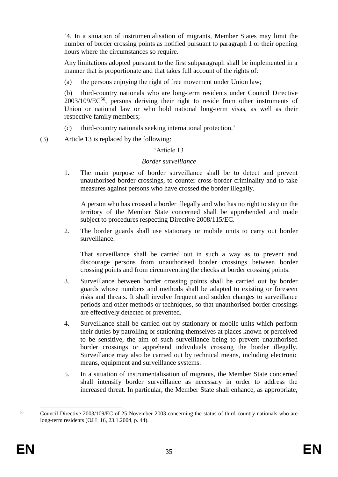'4. In a situation of instrumentalisation of migrants, Member States may limit the number of border crossing points as notified pursuant to paragraph 1 or their opening hours where the circumstances so require.

Any limitations adopted pursuant to the first subparagraph shall be implemented in a manner that is proportionate and that takes full account of the rights of:

(a) the persons enjoying the right of free movement under Union law;

(b) third-country nationals who are long-term residents under Council Directive 2003/109/EC<sup>56</sup>, persons deriving their right to reside from other instruments of Union or national law or who hold national long-term visas, as well as their respective family members;

(c) third-country nationals seeking international protection.'

(3) Article 13 is replaced by the following:

## 'Article 13

## *Border surveillance*

1. The main purpose of border surveillance shall be to detect and prevent unauthorised border crossings, to counter cross-border criminality and to take measures against persons who have crossed the border illegally.

A person who has crossed a border illegally and who has no right to stay on the territory of the Member State concerned shall be apprehended and made subject to procedures respecting Directive 2008/115/EC.

2. The border guards shall use stationary or mobile units to carry out border surveillance.

That surveillance shall be carried out in such a way as to prevent and discourage persons from unauthorised border crossings between border crossing points and from circumventing the checks at border crossing points.

- 3. Surveillance between border crossing points shall be carried out by border guards whose numbers and methods shall be adapted to existing or foreseen risks and threats. It shall involve frequent and sudden changes to surveillance periods and other methods or techniques, so that unauthorised border crossings are effectively detected or prevented.
- 4. Surveillance shall be carried out by stationary or mobile units which perform their duties by patrolling or stationing themselves at places known or perceived to be sensitive, the aim of such surveillance being to prevent unauthorised border crossings or apprehend individuals crossing the border illegally. Surveillance may also be carried out by technical means, including electronic means, equipment and surveillance systems.
- 5. In a situation of instrumentalisation of migrants, the Member State concerned shall intensify border surveillance as necessary in order to address the increased threat. In particular, the Member State shall enhance, as appropriate,

<sup>1</sup> <sup>56</sup> Council Directive 2003/109/EC of 25 November 2003 concerning the status of third-country nationals who are long-term residents (OJ L 16, 23.1.2004, p. 44).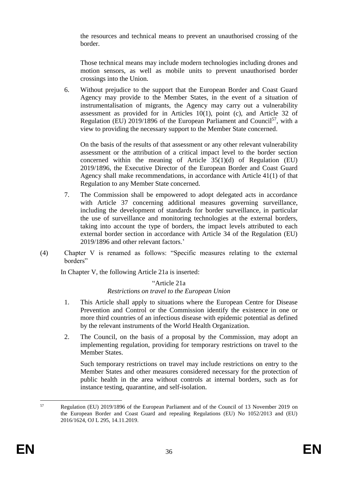the resources and technical means to prevent an unauthorised crossing of the border.

Those technical means may include modern technologies including drones and motion sensors, as well as mobile units to prevent unauthorised border crossings into the Union.

6. Without prejudice to the support that the European Border and Coast Guard Agency may provide to the Member States, in the event of a situation of instrumentalisation of migrants, the Agency may carry out a vulnerability assessment as provided for in Articles 10(1), point (c), and Article 32 of Regulation (EU) 2019/1896 of the European Parliament and Council<sup>57</sup>, with a view to providing the necessary support to the Member State concerned.

On the basis of the results of that assessment or any other relevant vulnerability assessment or the attribution of a critical impact level to the border section concerned within the meaning of Article 35(1)(d) of Regulation (EU) 2019/1896, the Executive Director of the European Border and Coast Guard Agency shall make recommendations, in accordance with Article 41(1) of that Regulation to any Member State concerned.

- 7. The Commission shall be empowered to adopt delegated acts in accordance with Article 37 concerning additional measures governing surveillance, including the development of standards for border surveillance, in particular the use of surveillance and monitoring technologies at the external borders, taking into account the type of borders, the impact levels attributed to each external border section in accordance with Article 34 of the Regulation (EU) 2019/1896 and other relevant factors.'
- (4) Chapter V is renamed as follows: "Specific measures relating to the external borders"

In Chapter V, the following Article 21a is inserted:

#### "Article 21a *Restrictions on travel to the European Union*

- 1. This Article shall apply to situations where the European Centre for Disease Prevention and Control or the Commission identify the existence in one or more third countries of an infectious disease with epidemic potential as defined by the relevant instruments of the World Health Organization.
- 2. The Council, on the basis of a proposal by the Commission, may adopt an implementing regulation, providing for temporary restrictions on travel to the Member States.

Such temporary restrictions on travel may include restrictions on entry to the Member States and other measures considered necessary for the protection of public health in the area without controls at internal borders, such as for instance testing, quarantine, and self-isolation.

<sup>57</sup> <sup>57</sup> Regulation (EU) 2019/1896 of the European Parliament and of the Council of 13 November 2019 on the European Border and Coast Guard and repealing Regulations (EU) No 1052/2013 and (EU) 2016/1624, OJ L 295, 14.11.2019.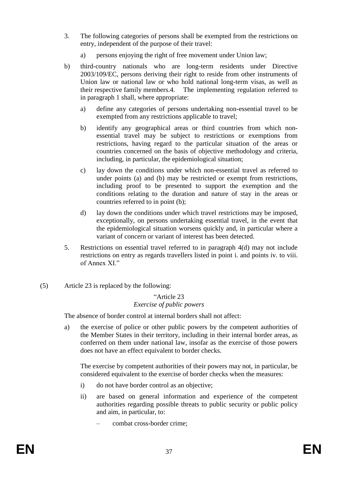- 3. The following categories of persons shall be exempted from the restrictions on entry, independent of the purpose of their travel:
	- a) persons enjoying the right of free movement under Union law;
- b) third-country nationals who are long-term residents under Directive 2003/109/EC, persons deriving their right to reside from other instruments of Union law or national law or who hold national long-term visas, as well as their respective family members.4. The implementing regulation referred to in paragraph 1 shall, where appropriate:
	- a) define any categories of persons undertaking non-essential travel to be exempted from any restrictions applicable to travel;
	- b) identify any geographical areas or third countries from which nonessential travel may be subject to restrictions or exemptions from restrictions, having regard to the particular situation of the areas or countries concerned on the basis of objective methodology and criteria, including, in particular, the epidemiological situation;
	- c) lay down the conditions under which non-essential travel as referred to under points (a) and (b) may be restricted or exempt from restrictions, including proof to be presented to support the exemption and the conditions relating to the duration and nature of stay in the areas or countries referred to in point (b);
	- d) lay down the conditions under which travel restrictions may be imposed, exceptionally, on persons undertaking essential travel, in the event that the epidemiological situation worsens quickly and, in particular where a variant of concern or variant of interest has been detected.
- 5. Restrictions on essential travel referred to in paragraph 4(d) may not include restrictions on entry as regards travellers listed in point i. and points iv. to viii. of Annex XI"
- (5) Article 23 is replaced by the following:

#### "Article 23 *Exercise of public powers*

The absence of border control at internal borders shall not affect:

a) the exercise of police or other public powers by the competent authorities of the Member States in their territory, including in their internal border areas, as conferred on them under national law, insofar as the exercise of those powers does not have an effect equivalent to border checks.

The exercise by competent authorities of their powers may not, in particular, be considered equivalent to the exercise of border checks when the measures:

- i) do not have border control as an objective;
- ii) are based on general information and experience of the competent authorities regarding possible threats to public security or public policy and aim, in particular, to:
	- combat cross-border crime;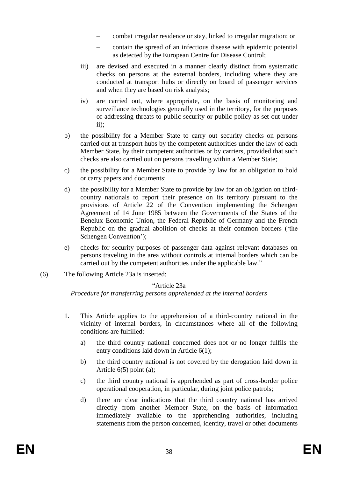- combat irregular residence or stay, linked to irregular migration; or
- contain the spread of an infectious disease with epidemic potential as detected by the European Centre for Disease Control;
- iii) are devised and executed in a manner clearly distinct from systematic checks on persons at the external borders, including where they are conducted at transport hubs or directly on board of passenger services and when they are based on risk analysis;
- iv) are carried out, where appropriate, on the basis of monitoring and surveillance technologies generally used in the territory, for the purposes of addressing threats to public security or public policy as set out under ii);
- b) the possibility for a Member State to carry out security checks on persons carried out at transport hubs by the competent authorities under the law of each Member State, by their competent authorities or by carriers, provided that such checks are also carried out on persons travelling within a Member State;
- c) the possibility for a Member State to provide by law for an obligation to hold or carry papers and documents;
- d) the possibility for a Member State to provide by law for an obligation on thirdcountry nationals to report their presence on its territory pursuant to the provisions of Article 22 of the Convention implementing the Schengen Agreement of 14 June 1985 between the Governments of the States of the Benelux Economic Union, the Federal Republic of Germany and the French Republic on the gradual abolition of checks at their common borders ('the Schengen Convention');
- e) checks for security purposes of passenger data against relevant databases on persons traveling in the area without controls at internal borders which can be carried out by the competent authorities under the applicable law."
- (6) The following Article 23a is inserted:

## "Article 23a

*Procedure for transferring persons apprehended at the internal borders*

- 1. This Article applies to the apprehension of a third-country national in the vicinity of internal borders, in circumstances where all of the following conditions are fulfilled:
	- a) the third country national concerned does not or no longer fulfils the entry conditions laid down in Article 6(1);
	- b) the third country national is not covered by the derogation laid down in Article 6(5) point (a);
	- c) the third country national is apprehended as part of cross-border police operational cooperation, in particular, during joint police patrols;
	- d) there are clear indications that the third country national has arrived directly from another Member State, on the basis of information immediately available to the apprehending authorities, including statements from the person concerned, identity, travel or other documents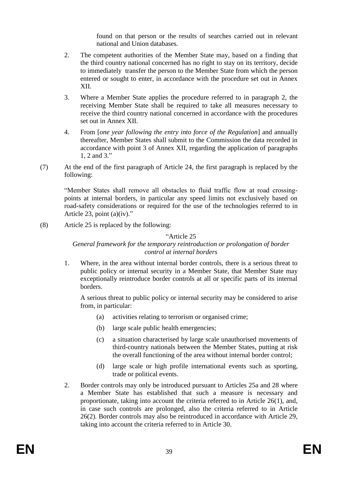found on that person or the results of searches carried out in relevant national and Union databases.

- 2. The competent authorities of the Member State may, based on a finding that the third country national concerned has no right to stay on its territory, decide to immediately transfer the person to the Member State from which the person entered or sought to enter, in accordance with the procedure set out in Annex XII.
- 3. Where a Member State applies the procedure referred to in paragraph 2, the receiving Member State shall be required to take all measures necessary to receive the third country national concerned in accordance with the procedures set out in Annex XII.
- 4. From [*one year following the entry into force of the Regulation*] and annually thereafter, Member States shall submit to the Commission the data recorded in accordance with point 3 of Annex XII, regarding the application of paragraphs 1, 2 and 3."
- (7) At the end of the first paragraph of Article 24, the first paragraph is replaced by the following:

"Member States shall remove all obstacles to fluid traffic flow at road crossingpoints at internal borders, in particular any speed limits not exclusively based on road-safety considerations or required for the use of the technologies referred to in Article 23, point (a)(iv)."

(8) Article 25 is replaced by the following:

#### "Article 25

#### *General framework for the temporary reintroduction or prolongation of border control at internal borders*

1. Where, in the area without internal border controls, there is a serious threat to public policy or internal security in a Member State, that Member State may exceptionally reintroduce border controls at all or specific parts of its internal borders.

A serious threat to public policy or internal security may be considered to arise from, in particular:

- (a) activities relating to terrorism or organised crime;
- (b) large scale public health emergencies;
- (c) a situation characterised by large scale unauthorised movements of third-country nationals between the Member States, putting at risk the overall functioning of the area without internal border control;
- (d) large scale or high profile international events such as sporting, trade or political events.
- 2. Border controls may only be introduced pursuant to Articles 25a and 28 where a Member State has established that such a measure is necessary and proportionate, taking into account the criteria referred to in Article 26(1), and, in case such controls are prolonged, also the criteria referred to in Article 26(2). Border controls may also be reintroduced in accordance with Article 29, taking into account the criteria referred to in Article 30.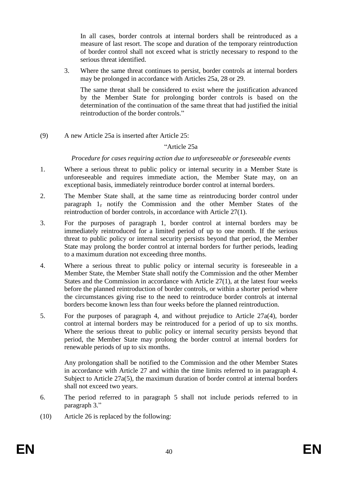In all cases, border controls at internal borders shall be reintroduced as a measure of last resort. The scope and duration of the temporary reintroduction of border control shall not exceed what is strictly necessary to respond to the serious threat identified.

3. Where the same threat continues to persist, border controls at internal borders may be prolonged in accordance with Articles 25a, 28 or 29.

The same threat shall be considered to exist where the justification advanced by the Member State for prolonging border controls is based on the determination of the continuation of the same threat that had justified the initial reintroduction of the border controls."

(9) A new Article 25a is inserted after Article 25:

#### "Article 25a

*Procedure for cases requiring action due to unforeseeable or foreseeable events*

- 1. Where a serious threat to public policy or internal security in a Member State is unforeseeable and requires immediate action, the Member State may, on an exceptional basis, immediately reintroduce border control at internal borders.
- 2. The Member State shall, at the same time as reintroducing border control under paragraph 1, notify the Commission and the other Member States of the reintroduction of border controls, in accordance with Article 27(1).
- 3. For the purposes of paragraph 1, border control at internal borders may be immediately reintroduced for a limited period of up to one month. If the serious threat to public policy or internal security persists beyond that period, the Member State may prolong the border control at internal borders for further periods, leading to a maximum duration not exceeding three months.
- 4. Where a serious threat to public policy or internal security is foreseeable in a Member State, the Member State shall notify the Commission and the other Member States and the Commission in accordance with Article 27(1), at the latest four weeks before the planned reintroduction of border controls, or within a shorter period where the circumstances giving rise to the need to reintroduce border controls at internal borders become known less than four weeks before the planned reintroduction.
- 5. For the purposes of paragraph 4, and without prejudice to Article 27a(4), border control at internal borders may be reintroduced for a period of up to six months. Where the serious threat to public policy or internal security persists beyond that period, the Member State may prolong the border control at internal borders for renewable periods of up to six months.

Any prolongation shall be notified to the Commission and the other Member States in accordance with Article 27 and within the time limits referred to in paragraph 4. Subject to Article 27a(5), the maximum duration of border control at internal borders shall not exceed two years.

- 6. The period referred to in paragraph 5 shall not include periods referred to in paragraph 3."
- (10) Article 26 is replaced by the following: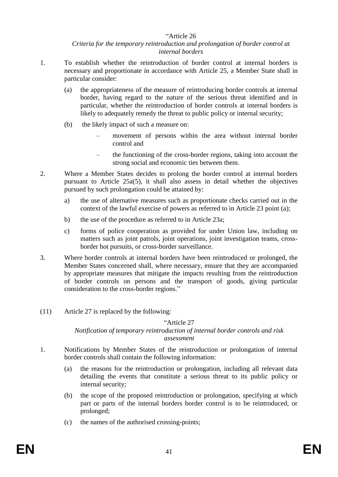#### "Article 26

#### *Criteria for the temporary reintroduction and prolongation of border control at internal borders*

- 1. To establish whether the reintroduction of border control at internal borders is necessary and proportionate in accordance with Article 25, a Member State shall in particular consider:
	- (a) the appropriateness of the measure of reintroducing border controls at internal border, having regard to the nature of the serious threat identified and in particular, whether the reintroduction of border controls at internal borders is likely to adequately remedy the threat to public policy or internal security;
	- (b) the likely impact of such a measure on:
		- movement of persons within the area without internal border control and
		- the functioning of the cross-border regions, taking into account the strong social and economic ties between them.
- 2. Where a Member States decides to prolong the border control at internal borders pursuant to Article 25a(5), it shall also assess in detail whether the objectives pursued by such prolongation could be attained by:
	- a) the use of alternative measures such as proportionate checks carried out in the context of the lawful exercise of powers as referred to in Article 23 point (a);
	- b) the use of the procedure as referred to in Article 23a;
	- c) forms of police cooperation as provided for under Union law, including on matters such as joint patrols, joint operations, joint investigation teams, crossborder hot pursuits, or cross-border surveillance.
- 3. Where border controls at internal borders have been reintroduced or prolonged, the Member States concerned shall, where necessary, ensure that they are accompanied by appropriate measures that mitigate the impacts resulting from the reintroduction of border controls on persons and the transport of goods, giving particular consideration to the cross-border regions."
- (11) Article 27 is replaced by the following:

## "Article 27

## *Notification of temporary reintroduction of internal border controls and risk assessment*

- 1. Notifications by Member States of the reintroduction or prolongation of internal border controls shall contain the following information:
	- (a) the reasons for the reintroduction or prolongation, including all relevant data detailing the events that constitute a serious threat to its public policy or internal security;
	- (b) the scope of the proposed reintroduction or prolongation, specifying at which part or parts of the internal borders border control is to be reintroduced, or prolonged;
	- (c) the names of the authorised crossing-points;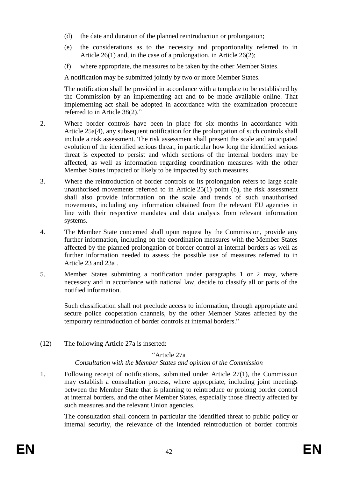- (d) the date and duration of the planned reintroduction or prolongation;
- (e) the considerations as to the necessity and proportionality referred to in Article 26(1) and, in the case of a prolongation, in Article 26(2);
- (f) where appropriate, the measures to be taken by the other Member States.

A notification may be submitted jointly by two or more Member States.

The notification shall be provided in accordance with a template to be established by the Commission by an implementing act and to be made available online. That implementing act shall be adopted in accordance with the examination procedure referred to in Article 38(2)."

- 2. Where border controls have been in place for six months in accordance with Article 25a(4), any subsequent notification for the prolongation of such controls shall include a risk assessment. The risk assessment shall present the scale and anticipated evolution of the identified serious threat, in particular how long the identified serious threat is expected to persist and which sections of the internal borders may be affected, as well as information regarding coordination measures with the other Member States impacted or likely to be impacted by such measures.
- 3. Where the reintroduction of border controls or its prolongation refers to large scale unauthorised movements referred to in Article 25(1) point (b), the risk assessment shall also provide information on the scale and trends of such unauthorised movements, including any information obtained from the relevant EU agencies in line with their respective mandates and data analysis from relevant information systems.
- 4. The Member State concerned shall upon request by the Commission, provide any further information, including on the coordination measures with the Member States affected by the planned prolongation of border control at internal borders as well as further information needed to assess the possible use of measures referred to in Article 23 and 23a .
- 5. Member States submitting a notification under paragraphs 1 or 2 may, where necessary and in accordance with national law, decide to classify all or parts of the notified information.

Such classification shall not preclude access to information, through appropriate and secure police cooperation channels, by the other Member States affected by the temporary reintroduction of border controls at internal borders."

(12) The following Article 27a is inserted:

#### "Article 27a

*Consultation with the Member States and opinion of the Commission*

1. Following receipt of notifications, submitted under Article 27(1), the Commission may establish a consultation process, where appropriate, including joint meetings between the Member State that is planning to reintroduce or prolong border control at internal borders, and the other Member States, especially those directly affected by such measures and the relevant Union agencies.

The consultation shall concern in particular the identified threat to public policy or internal security, the relevance of the intended reintroduction of border controls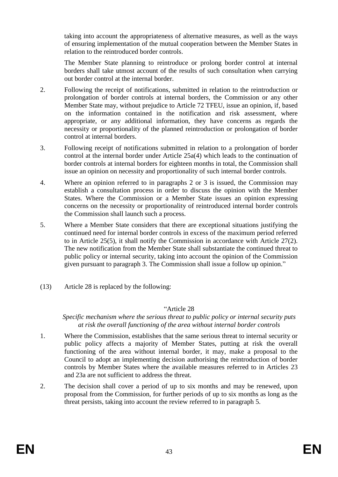taking into account the appropriateness of alternative measures, as well as the ways of ensuring implementation of the mutual cooperation between the Member States in relation to the reintroduced border controls.

The Member State planning to reintroduce or prolong border control at internal borders shall take utmost account of the results of such consultation when carrying out border control at the internal border.

- 2. Following the receipt of notifications, submitted in relation to the reintroduction or prolongation of border controls at internal borders, the Commission or any other Member State may, without prejudice to Article 72 TFEU, issue an opinion, if, based on the information contained in the notification and risk assessment, where appropriate, or any additional information, they have concerns as regards the necessity or proportionality of the planned reintroduction or prolongation of border control at internal borders.
- 3. Following receipt of notifications submitted in relation to a prolongation of border control at the internal border under Article 25a(4) which leads to the continuation of border controls at internal borders for eighteen months in total, the Commission shall issue an opinion on necessity and proportionality of such internal border controls.
- 4. Where an opinion referred to in paragraphs 2 or 3 is issued, the Commission may establish a consultation process in order to discuss the opinion with the Member States. Where the Commission or a Member State issues an opinion expressing concerns on the necessity or proportionality of reintroduced internal border controls the Commission shall launch such a process.
- 5. Where a Member State considers that there are exceptional situations justifying the continued need for internal border controls in excess of the maximum period referred to in Article 25(5), it shall notify the Commission in accordance with Article 27(2). The new notification from the Member State shall substantiate the continued threat to public policy or internal security, taking into account the opinion of the Commission given pursuant to paragraph 3. The Commission shall issue a follow up opinion."
- (13) Article 28 is replaced by the following:

#### "Article 28

#### *Specific mechanism where the serious threat to public policy or internal security puts at risk the overall functioning of the area without internal border controls*

- 1. Where the Commission, establishes that the same serious threat to internal security or public policy affects a majority of Member States, putting at risk the overall functioning of the area without internal border, it may, make a proposal to the Council to adopt an implementing decision authorising the reintroduction of border controls by Member States where the available measures referred to in Articles 23 and 23a are not sufficient to address the threat.
- 2. The decision shall cover a period of up to six months and may be renewed, upon proposal from the Commission, for further periods of up to six months as long as the threat persists, taking into account the review referred to in paragraph 5.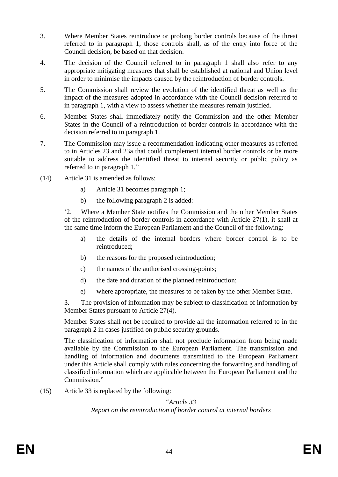- 3. Where Member States reintroduce or prolong border controls because of the threat referred to in paragraph 1, those controls shall, as of the entry into force of the Council decision, be based on that decision.
- 4. The decision of the Council referred to in paragraph 1 shall also refer to any appropriate mitigating measures that shall be established at national and Union level in order to minimise the impacts caused by the reintroduction of border controls.
- 5. The Commission shall review the evolution of the identified threat as well as the impact of the measures adopted in accordance with the Council decision referred to in paragraph 1, with a view to assess whether the measures remain justified.
- 6. Member States shall immediately notify the Commission and the other Member States in the Council of a reintroduction of border controls in accordance with the decision referred to in paragraph 1.
- 7. The Commission may issue a recommendation indicating other measures as referred to in Articles 23 and 23a that could complement internal border controls or be more suitable to address the identified threat to internal security or public policy as referred to in paragraph 1."
- (14) Article 31 is amended as follows:
	- a) Article 31 becomes paragraph 1;
	- b) the following paragraph 2 is added:

'2. Where a Member State notifies the Commission and the other Member States of the reintroduction of border controls in accordance with Article 27(1), it shall at the same time inform the European Parliament and the Council of the following:

- a) the details of the internal borders where border control is to be reintroduced;
- b) the reasons for the proposed reintroduction;
- c) the names of the authorised crossing-points;
- d) the date and duration of the planned reintroduction;
- e) where appropriate, the measures to be taken by the other Member State.

3. The provision of information may be subject to classification of information by Member States pursuant to Article 27(4).

Member States shall not be required to provide all the information referred to in the paragraph 2 in cases justified on public security grounds.

The classification of information shall not preclude information from being made available by the Commission to the European Parliament. The transmission and handling of information and documents transmitted to the European Parliament under this Article shall comply with rules concerning the forwarding and handling of classified information which are applicable between the European Parliament and the Commission."

(15) Article 33 is replaced by the following:

## "*Article 33*

*Report on the reintroduction of border control at internal borders*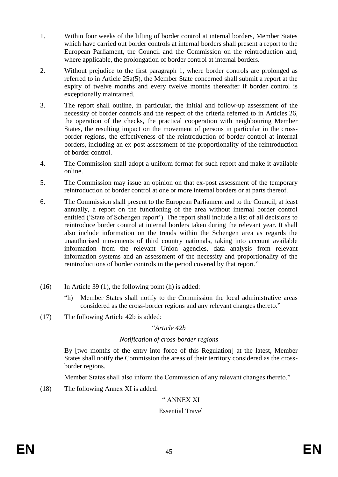- 1. Within four weeks of the lifting of border control at internal borders, Member States which have carried out border controls at internal borders shall present a report to the European Parliament, the Council and the Commission on the reintroduction and, where applicable, the prolongation of border control at internal borders.
- 2. Without prejudice to the first paragraph 1, where border controls are prolonged as referred to in Article 25a(5), the Member State concerned shall submit a report at the expiry of twelve months and every twelve months thereafter if border control is exceptionally maintained.
- 3. The report shall outline, in particular, the initial and follow-up assessment of the necessity of border controls and the respect of the criteria referred to in Articles 26, the operation of the checks, the practical cooperation with neighbouring Member States, the resulting impact on the movement of persons in particular in the crossborder regions, the effectiveness of the reintroduction of border control at internal borders, including an ex-post assessment of the proportionality of the reintroduction of border control.
- 4. The Commission shall adopt a uniform format for such report and make it available online.
- 5. The Commission may issue an opinion on that ex-post assessment of the temporary reintroduction of border control at one or more internal borders or at parts thereof.
- 6. The Commission shall present to the European Parliament and to the Council, at least annually, a report on the functioning of the area without internal border control entitled ('State of Schengen report'). The report shall include a list of all decisions to reintroduce border control at internal borders taken during the relevant year. It shall also include information on the trends within the Schengen area as regards the unauthorised movements of third country nationals, taking into account available information from the relevant Union agencies, data analysis from relevant information systems and an assessment of the necessity and proportionality of the reintroductions of border controls in the period covered by that report."
- (16) In Article 39 (1), the following point (h) is added:
	- "h) Member States shall notify to the Commission the local administrative areas considered as the cross-border regions and any relevant changes thereto."
- (17) The following Article 42b is added:

#### "*Article 42b*

## *Notification of cross-border regions*

By [two months of the entry into force of this Regulation] at the latest, Member States shall notify the Commission the areas of their territory considered as the crossborder regions.

Member States shall also inform the Commission of any relevant changes thereto."

(18) The following Annex XI is added:

## " ANNEX XI

## Essential Travel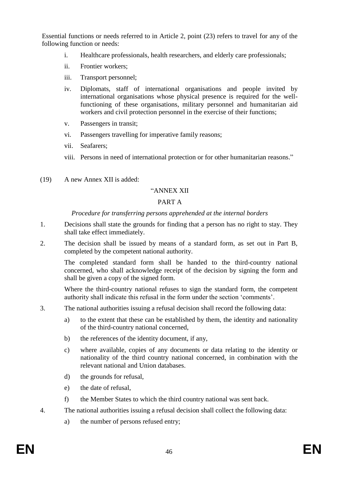Essential functions or needs referred to in Article 2, point (23) refers to travel for any of the following function or needs:

- i. Healthcare professionals, health researchers, and elderly care professionals;
- ii. Frontier workers;
- iii. Transport personnel;
- iv. Diplomats, staff of international organisations and people invited by international organisations whose physical presence is required for the wellfunctioning of these organisations, military personnel and humanitarian aid workers and civil protection personnel in the exercise of their functions;
- v. Passengers in transit;
- vi. Passengers travelling for imperative family reasons;
- vii. Seafarers;
- viii. Persons in need of international protection or for other humanitarian reasons."
- (19) A new Annex XII is added:

#### "ANNEX XII

#### PART A

#### *Procedure for transferring persons apprehended at the internal borders*

- 1. Decisions shall state the grounds for finding that a person has no right to stay. They shall take effect immediately.
- 2. The decision shall be issued by means of a standard form, as set out in Part B, completed by the competent national authority.

The completed standard form shall be handed to the third-country national concerned, who shall acknowledge receipt of the decision by signing the form and shall be given a copy of the signed form.

Where the third-country national refuses to sign the standard form, the competent authority shall indicate this refusal in the form under the section 'comments'.

- 3. The national authorities issuing a refusal decision shall record the following data:
	- a) to the extent that these can be established by them, the identity and nationality of the third-country national concerned,
	- b) the references of the identity document, if any,
	- c) where available, copies of any documents or data relating to the identity or nationality of the third country national concerned, in combination with the relevant national and Union databases.
	- d) the grounds for refusal,
	- e) the date of refusal,
	- f) the Member States to which the third country national was sent back.
- 4. The national authorities issuing a refusal decision shall collect the following data:
	- a) the number of persons refused entry;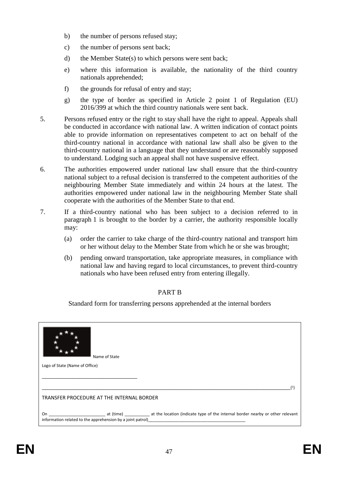- b) the number of persons refused stay;
- c) the number of persons sent back;
- d) the Member State(s) to which persons were sent back;
- e) where this information is available, the nationality of the third country nationals apprehended;
- f) the grounds for refusal of entry and stay;
- g) the type of border as specified in Article 2 point 1 of Regulation (EU) 2016/399 at which the third country nationals were sent back.
- 5. Persons refused entry or the right to stay shall have the right to appeal. Appeals shall be conducted in accordance with national law. A written indication of contact points able to provide information on representatives competent to act on behalf of the third-country national in accordance with national law shall also be given to the third-country national in a language that they understand or are reasonably supposed to understand. Lodging such an appeal shall not have suspensive effect.
- 6. The authorities empowered under national law shall ensure that the third-country national subject to a refusal decision is transferred to the competent authorities of the neighbouring Member State immediately and within 24 hours at the latest. The authorities empowered under national law in the neighbouring Member State shall cooperate with the authorities of the Member State to that end.
- 7. If a third-country national who has been subject to a decision referred to in paragraph 1 is brought to the border by a carrier, the authority responsible locally may:
	- (a) order the carrier to take charge of the third-country national and transport him or her without delay to the Member State from which he or she was brought;
	- (b) pending onward transportation, take appropriate measures, in compliance with national law and having regard to local circumstances, to prevent third-country nationals who have been refused entry from entering illegally.

## PART B

Standard form for transferring persons apprehended at the internal borders

| Name of State                                                                                                                                                     |  |
|-------------------------------------------------------------------------------------------------------------------------------------------------------------------|--|
| Logo of State (Name of Office)                                                                                                                                    |  |
|                                                                                                                                                                   |  |
|                                                                                                                                                                   |  |
|                                                                                                                                                                   |  |
|                                                                                                                                                                   |  |
|                                                                                                                                                                   |  |
| TRANSFER PROCEDURE AT THE INTERNAL BORDER                                                                                                                         |  |
| On example at (time) at the location (indicate type of the internal border nearby or other relevant<br>information related to the apprehension by a joint patrol) |  |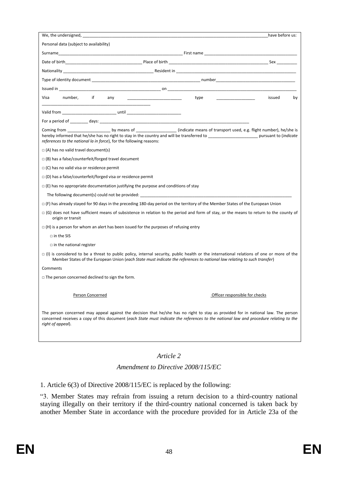| We, the undersigned,                                                                                                                                                                                                                                                                            |                                                                                                                                                                                                                               | have before us: |  |
|-------------------------------------------------------------------------------------------------------------------------------------------------------------------------------------------------------------------------------------------------------------------------------------------------|-------------------------------------------------------------------------------------------------------------------------------------------------------------------------------------------------------------------------------|-----------------|--|
| Personal data (subject to availability)                                                                                                                                                                                                                                                         |                                                                                                                                                                                                                               |                 |  |
|                                                                                                                                                                                                                                                                                                 |                                                                                                                                                                                                                               |                 |  |
|                                                                                                                                                                                                                                                                                                 |                                                                                                                                                                                                                               |                 |  |
|                                                                                                                                                                                                                                                                                                 |                                                                                                                                                                                                                               |                 |  |
|                                                                                                                                                                                                                                                                                                 |                                                                                                                                                                                                                               |                 |  |
|                                                                                                                                                                                                                                                                                                 |                                                                                                                                                                                                                               |                 |  |
| if a<br>number,<br>Visa<br>any<br><u> 1990 - Johann Stein, mars and de Barbara</u>                                                                                                                                                                                                              | type type the contract of the contract of the contract of the contract of the contract of the contract of the contract of the contract of the contract of the contract of the contract of the contract of the contract of the | issued<br>by    |  |
|                                                                                                                                                                                                                                                                                                 |                                                                                                                                                                                                                               |                 |  |
|                                                                                                                                                                                                                                                                                                 |                                                                                                                                                                                                                               |                 |  |
| references to the national la in force), for the following reasons:                                                                                                                                                                                                                             |                                                                                                                                                                                                                               |                 |  |
| $\Box$ (A) has no valid travel document(s)                                                                                                                                                                                                                                                      |                                                                                                                                                                                                                               |                 |  |
| $\Box$ (B) has a false/counterfeit/forged travel document                                                                                                                                                                                                                                       |                                                                                                                                                                                                                               |                 |  |
| $\Box$ (C) has no valid visa or residence permit                                                                                                                                                                                                                                                |                                                                                                                                                                                                                               |                 |  |
| $\Box$ (D) has a false/counterfeit/forged visa or residence permit                                                                                                                                                                                                                              |                                                                                                                                                                                                                               |                 |  |
| $\Box$ (E) has no appropriate documentation justifying the purpose and conditions of stay                                                                                                                                                                                                       |                                                                                                                                                                                                                               |                 |  |
|                                                                                                                                                                                                                                                                                                 |                                                                                                                                                                                                                               |                 |  |
| $\Box$ (F) has already stayed for 90 days in the preceding 180-day period on the territory of the Member States of the European Union                                                                                                                                                           |                                                                                                                                                                                                                               |                 |  |
| □ (G) does not have sufficient means of subsistence in relation to the period and form of stay, or the means to return to the county of<br>origin or transit                                                                                                                                    |                                                                                                                                                                                                                               |                 |  |
| $\Box$ (H) is a person for whom an alert has been issued for the purposes of refusing entry                                                                                                                                                                                                     |                                                                                                                                                                                                                               |                 |  |
| $\Box$ in the SIS                                                                                                                                                                                                                                                                               |                                                                                                                                                                                                                               |                 |  |
| $\Box$ in the national register                                                                                                                                                                                                                                                                 |                                                                                                                                                                                                                               |                 |  |
| $\Box$ (I) is considered to be a threat to public policy, internal security, public health or the international relations of one or more of the<br>Member States of the European Union (each State must indicate the references to national law relating to such transfer)                      |                                                                                                                                                                                                                               |                 |  |
| Comments                                                                                                                                                                                                                                                                                        |                                                                                                                                                                                                                               |                 |  |
| $\Box$ The person concerned declined to sign the form.                                                                                                                                                                                                                                          |                                                                                                                                                                                                                               |                 |  |
|                                                                                                                                                                                                                                                                                                 |                                                                                                                                                                                                                               |                 |  |
| Person Concerned                                                                                                                                                                                                                                                                                | Officer responsible for checks                                                                                                                                                                                                |                 |  |
| The person concerned may appeal against the decision that he/she has no right to stay as provided for in national law. The person<br>concerned receives a copy of this document (each State must indicate the references to the national law and procedure relating to the<br>right of appeal). |                                                                                                                                                                                                                               |                 |  |

#### *Article 2*

#### *Amendment to Directive 2008/115/EC*

1. Article 6(3) of Directive 2008/115/EC is replaced by the following:

"3. Member States may refrain from issuing a return decision to a third-country national staying illegally on their territory if the third-country national concerned is taken back by another Member State in accordance with the procedure provided for in Article 23a of the